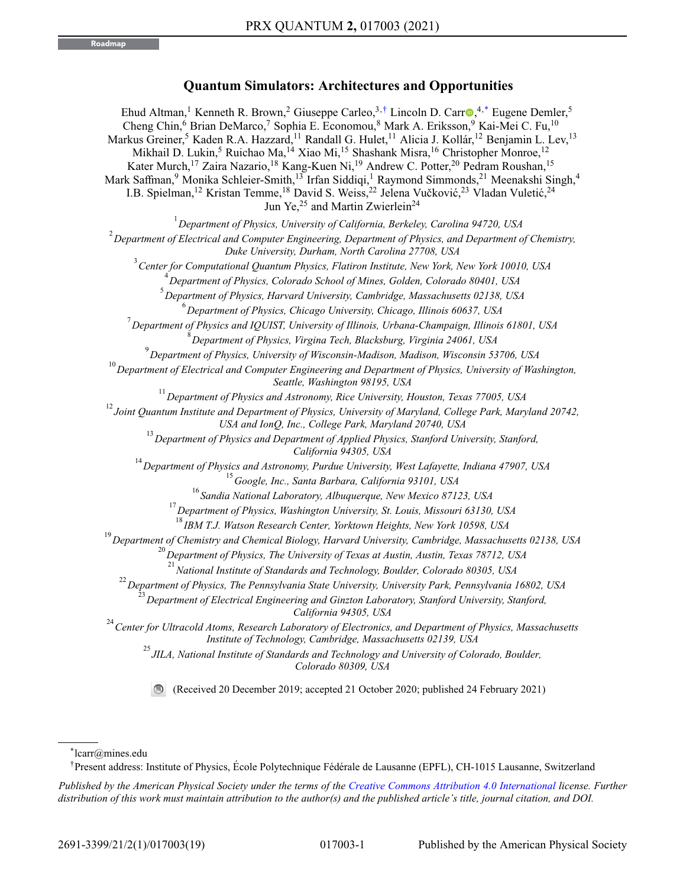# **Quantum Simulators: Architectures and Opportunities**

Ehud Altman,<sup>1</sup> Kenneth R. Brown,<sup>2</sup> Giuseppe Carleo,<sup>3[,†](#page-0-0)</sup> Lincoln D. Carr<sup>o[,](https://orcid.org/0000-0002-4848-7941)4[,\\*](#page-0-1)</sup> Eugene Demler,<sup>5</sup> Cheng Chin,<sup>6</sup> Brian DeMarco,<sup>7</sup> Sophia E. Economou,<sup>8</sup> Mark A. Eriksson,<sup>9</sup> Kai-Mei C. Fu,<sup>10</sup> Markus Greiner,<sup>5</sup> Kaden R.A. Hazzard,<sup>11</sup> Randall G. Hulet,<sup>11</sup> Alicia J. Kollár,<sup>12</sup> Benjamin L. Lev,<sup>13</sup> Mikhail D. Lukin,<sup>5</sup> Ruichao Ma,<sup>14</sup> Xiao Mi,<sup>15</sup> Shashank Misra,<sup>16</sup> Christopher Monroe,<sup>12</sup> Kater Murch,<sup>17</sup> Zaira Nazario,<sup>18</sup> Kang-Kuen Ni,<sup>19</sup> Andrew C. Potter,<sup>20</sup> Pedram Roushan,<sup>15</sup> Mark Saffman,<sup>9</sup> Monika Schleier-Smith,<sup>13</sup> Irfan Siddiqi,<sup>1</sup> Raymond Simmonds,<sup>21</sup> Meenakshi Singh,<sup>4</sup> I.B. Spielman,<sup>12</sup> Kristan Temme,<sup>18</sup> David S. Weiss,<sup>22</sup> Jelena Vučković,<sup>23</sup> Vladan Vuletić,<sup>24</sup> Jun Ye,<sup>25</sup> and Martin Zwierlein<sup>24</sup> *Department of Physics, University of California, Berkeley, Carolina 94720, USA Department of Electrical and Computer Engineering, Department of Physics, and Department of Chemistry, Duke University, Durham, North Carolina 27708, USA Center for Computational Quantum Physics, Flatiron Institute, New York, New York 10010, USA Department of Physics, Colorado School of Mines, Golden, Colorado 80401, USA Department of Physics, Harvard University, Cambridge, Massachusetts 02138, USA Department of Physics, Chicago University, Chicago, Illinois 60637, USA Department of Physics and IQUIST, University of Illinois, Urbana-Champaign, Illinois 61801, USA Department of Physics, Virgina Tech, Blacksburg, Virginia 24061, USA Department of Physics, University of Wisconsin-Madison, Madison, Wisconsin 53706, USA Department of Electrical and Computer Engineering and Department of Physics, University of Washington, Seattle, Washington 98195, USA Department of Physics and Astronomy, Rice University, Houston, Texas 77005, USA Joint Quantum Institute and Department of Physics, University of Maryland, College Park, Maryland 20742, USA and IonQ, Inc., College Park, Maryland 20740, USA Department of Physics and Department of Applied Physics, Stanford University, Stanford, California 94305, USA Department of Physics and Astronomy, Purdue University, West Lafayette, Indiana 47907, USA Google, Inc., Santa Barbara, California 93101, USA Sandia National Laboratory, Albuquerque, New Mexico 87123, USA Department of Physics, Washington University, St. Louis, Missouri 63130, USA IBM T.J. Watson Research Center, Yorktown Heights, New York 10598, USA Department of Chemistry and Chemical Biology, Harvard University, Cambridge, Massachusetts 02138, USA Department of Physics, The University of Texas at Austin, Austin, Texas 78712, USA National Institute of Standards and Technology, Boulder, Colorado 80305, USA Department of Physics, The Pennsylvania State University, University Park, Pennsylvania 16802, USA Department of Electrical Engineering and Ginzton Laboratory, Stanford University, Stanford, California 94305, USA Center for Ultracold Atoms, Research Laboratory of Electronics, and Department of Physics, Massachusetts Institute of Technology, Cambridge, Massachusetts 02139, USA JILA, National Institute of Standards and Technology and University of Colorado, Boulder, Colorado 80309, USA* (Received 20 December 2019; accepted 21 October 2020; published 24 February 2021)

<span id="page-0-1"></span>\*lcarr@mines.edu

<span id="page-0-0"></span>†Present address: Institute of Physics, École Polytechnique Fédérale de Lausanne (EPFL), CH-1015 Lausanne, Switzerland

*Published by the American Physical Society under the terms of the [Creative Commons Attribution 4.0 International](https://creativecommons.org/licenses/by/4.0/) license. Further distribution of this work must maintain attribution to the author(s) and the published article's title, journal citation, and DOI.*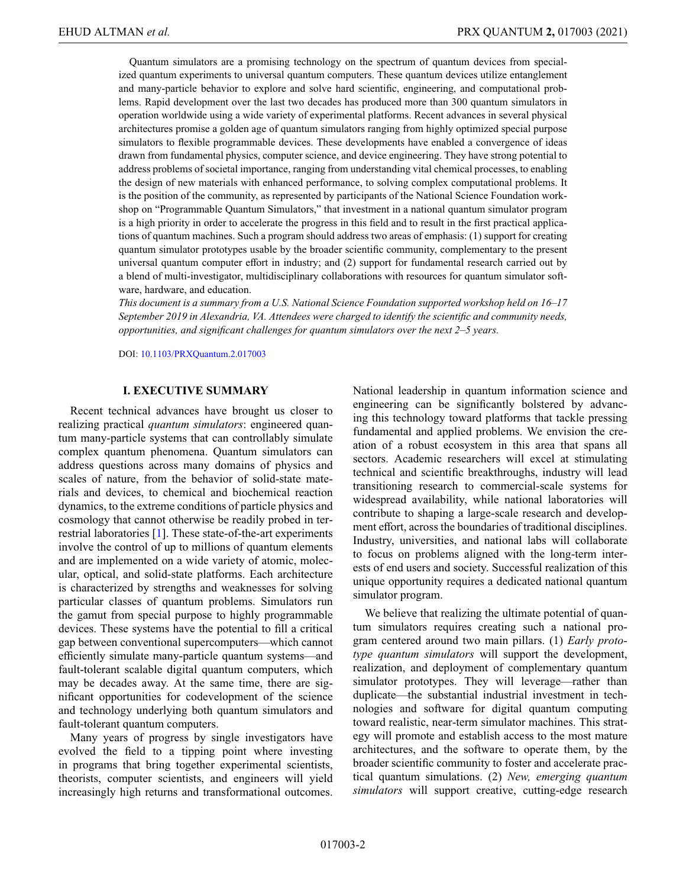Quantum simulators are a promising technology on the spectrum of quantum devices from specialized quantum experiments to universal quantum computers. These quantum devices utilize entanglement and many-particle behavior to explore and solve hard scientific, engineering, and computational problems. Rapid development over the last two decades has produced more than 300 quantum simulators in operation worldwide using a wide variety of experimental platforms. Recent advances in several physical architectures promise a golden age of quantum simulators ranging from highly optimized special purpose simulators to flexible programmable devices. These developments have enabled a convergence of ideas drawn from fundamental physics, computer science, and device engineering. They have strong potential to address problems of societal importance, ranging from understanding vital chemical processes, to enabling the design of new materials with enhanced performance, to solving complex computational problems. It is the position of the community, as represented by participants of the National Science Foundation workshop on "Programmable Quantum Simulators," that investment in a national quantum simulator program is a high priority in order to accelerate the progress in this field and to result in the first practical applications of quantum machines. Such a program should address two areas of emphasis: (1) support for creating quantum simulator prototypes usable by the broader scientific community, complementary to the present universal quantum computer effort in industry; and (2) support for fundamental research carried out by a blend of multi-investigator, multidisciplinary collaborations with resources for quantum simulator software, hardware, and education.

*This document is a summary from a U.S. National Science Foundation supported workshop held on 16–17 September 2019 in Alexandria, VA. Attendees were charged to identify the scientific and community needs, opportunities, and significant challenges for quantum simulators over the next 2–5 years.*

DOI: [10.1103/PRXQuantum.2.017003](http://dx.doi.org/10.1103/PRXQuantum.2.017003)

# **I. EXECUTIVE SUMMARY**

Recent technical advances have brought us closer to realizing practical *quantum simulators*: engineered quantum many-particle systems that can controllably simulate complex quantum phenomena. Quantum simulators can address questions across many domains of physics and scales of nature, from the behavior of solid-state materials and devices, to chemical and biochemical reaction dynamics, to the extreme conditions of particle physics and cosmology that cannot otherwise be readily probed in terrestrial laboratories [\[1\]](#page-13-0). These state-of-the-art experiments involve the control of up to millions of quantum elements and are implemented on a wide variety of atomic, molecular, optical, and solid-state platforms. Each architecture is characterized by strengths and weaknesses for solving particular classes of quantum problems. Simulators run the gamut from special purpose to highly programmable devices. These systems have the potential to fill a critical gap between conventional supercomputers—which cannot efficiently simulate many-particle quantum systems—and fault-tolerant scalable digital quantum computers, which may be decades away. At the same time, there are significant opportunities for codevelopment of the science and technology underlying both quantum simulators and fault-tolerant quantum computers.

Many years of progress by single investigators have evolved the field to a tipping point where investing in programs that bring together experimental scientists, theorists, computer scientists, and engineers will yield increasingly high returns and transformational outcomes. National leadership in quantum information science and engineering can be significantly bolstered by advancing this technology toward platforms that tackle pressing fundamental and applied problems. We envision the creation of a robust ecosystem in this area that spans all sectors. Academic researchers will excel at stimulating technical and scientific breakthroughs, industry will lead transitioning research to commercial-scale systems for widespread availability, while national laboratories will contribute to shaping a large-scale research and development effort, across the boundaries of traditional disciplines. Industry, universities, and national labs will collaborate to focus on problems aligned with the long-term interests of end users and society. Successful realization of this unique opportunity requires a dedicated national quantum simulator program.

We believe that realizing the ultimate potential of quantum simulators requires creating such a national program centered around two main pillars. (1) *Early prototype quantum simulators* will support the development, realization, and deployment of complementary quantum simulator prototypes. They will leverage—rather than duplicate—the substantial industrial investment in technologies and software for digital quantum computing toward realistic, near-term simulator machines. This strategy will promote and establish access to the most mature architectures, and the software to operate them, by the broader scientific community to foster and accelerate practical quantum simulations. (2) *New, emerging quantum simulators* will support creative, cutting-edge research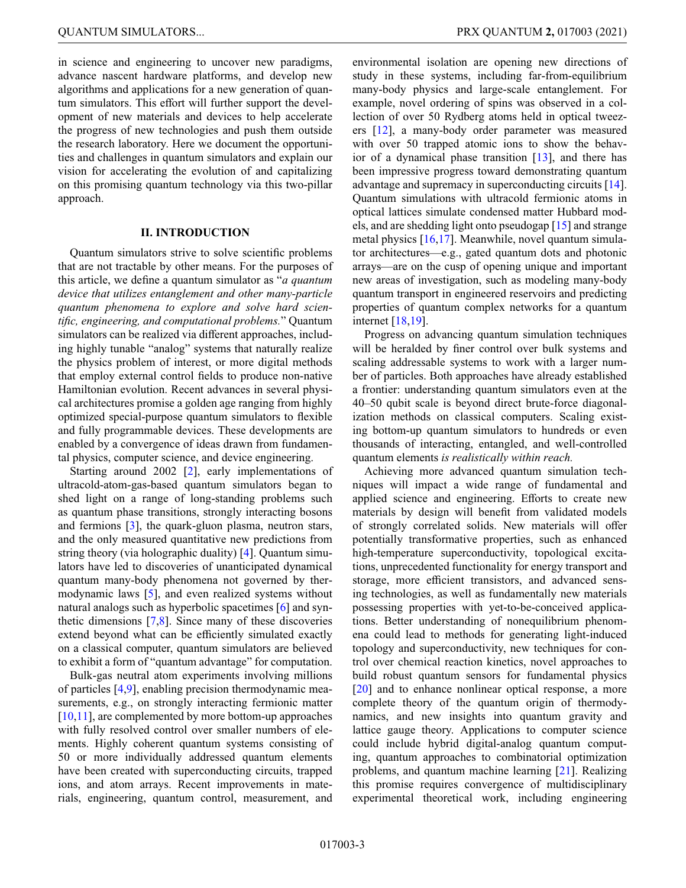in science and engineering to uncover new paradigms, advance nascent hardware platforms, and develop new algorithms and applications for a new generation of quantum simulators. This effort will further support the development of new materials and devices to help accelerate the progress of new technologies and push them outside the research laboratory. Here we document the opportunities and challenges in quantum simulators and explain our vision for accelerating the evolution of and capitalizing on this promising quantum technology via this two-pillar approach.

# **II. INTRODUCTION**

Quantum simulators strive to solve scientific problems that are not tractable by other means. For the purposes of this article, we define a quantum simulator as "*a quantum device that utilizes entanglement and other many-particle quantum phenomena to explore and solve hard scientific, engineering, and computational problems.*" Quantum simulators can be realized via different approaches, including highly tunable "analog" systems that naturally realize the physics problem of interest, or more digital methods that employ external control fields to produce non-native Hamiltonian evolution. Recent advances in several physical architectures promise a golden age ranging from highly optimized special-purpose quantum simulators to flexible and fully programmable devices. These developments are enabled by a convergence of ideas drawn from fundamental physics, computer science, and device engineering.

Starting around 2002 [\[2\]](#page-13-1), early implementations of ultracold-atom-gas-based quantum simulators began to shed light on a range of long-standing problems such as quantum phase transitions, strongly interacting bosons and fermions [\[3\]](#page-13-2), the quark-gluon plasma, neutron stars, and the only measured quantitative new predictions from string theory (via holographic duality) [\[4\]](#page-13-3). Quantum simulators have led to discoveries of unanticipated dynamical quantum many-body phenomena not governed by thermodynamic laws [\[5\]](#page-13-4), and even realized systems without natural analogs such as hyperbolic spacetimes [\[6\]](#page-13-5) and synthetic dimensions [\[7](#page-13-6)[,8\]](#page-13-7). Since many of these discoveries extend beyond what can be efficiently simulated exactly on a classical computer, quantum simulators are believed to exhibit a form of "quantum advantage" for computation.

Bulk-gas neutral atom experiments involving millions of particles [\[4](#page-13-3)[,9\]](#page-13-8), enabling precision thermodynamic measurements, e.g., on strongly interacting fermionic matter [\[10](#page-13-9)[,11\]](#page-13-10), are complemented by more bottom-up approaches with fully resolved control over smaller numbers of elements. Highly coherent quantum systems consisting of 50 or more individually addressed quantum elements have been created with superconducting circuits, trapped ions, and atom arrays. Recent improvements in materials, engineering, quantum control, measurement, and environmental isolation are opening new directions of study in these systems, including far-from-equilibrium many-body physics and large-scale entanglement. For example, novel ordering of spins was observed in a collection of over 50 Rydberg atoms held in optical tweezers [\[12\]](#page-13-11), a many-body order parameter was measured with over 50 trapped atomic ions to show the behavior of a dynamical phase transition [\[13\]](#page-14-0), and there has been impressive progress toward demonstrating quantum advantage and supremacy in superconducting circuits [\[14\]](#page-14-1). Quantum simulations with ultracold fermionic atoms in optical lattices simulate condensed matter Hubbard models, and are shedding light onto pseudogap [\[15\]](#page-14-2) and strange metal physics [\[16](#page-14-3)[,17\]](#page-14-4). Meanwhile, novel quantum simulator architectures—e.g., gated quantum dots and photonic arrays—are on the cusp of opening unique and important new areas of investigation, such as modeling many-body quantum transport in engineered reservoirs and predicting properties of quantum complex networks for a quantum internet [\[18](#page-14-5)[,19\]](#page-14-6).

Progress on advancing quantum simulation techniques will be heralded by finer control over bulk systems and scaling addressable systems to work with a larger number of particles. Both approaches have already established a frontier: understanding quantum simulators even at the 40–50 qubit scale is beyond direct brute-force diagonalization methods on classical computers. Scaling existing bottom-up quantum simulators to hundreds or even thousands of interacting, entangled, and well-controlled quantum elements *is realistically within reach.*

Achieving more advanced quantum simulation techniques will impact a wide range of fundamental and applied science and engineering. Efforts to create new materials by design will benefit from validated models of strongly correlated solids. New materials will offer potentially transformative properties, such as enhanced high-temperature superconductivity, topological excitations, unprecedented functionality for energy transport and storage, more efficient transistors, and advanced sensing technologies, as well as fundamentally new materials possessing properties with yet-to-be-conceived applications. Better understanding of nonequilibrium phenomena could lead to methods for generating light-induced topology and superconductivity, new techniques for control over chemical reaction kinetics, novel approaches to build robust quantum sensors for fundamental physics [\[20\]](#page-14-7) and to enhance nonlinear optical response, a more complete theory of the quantum origin of thermodynamics, and new insights into quantum gravity and lattice gauge theory. Applications to computer science could include hybrid digital-analog quantum computing, quantum approaches to combinatorial optimization problems, and quantum machine learning [\[21\]](#page-14-8). Realizing this promise requires convergence of multidisciplinary experimental theoretical work, including engineering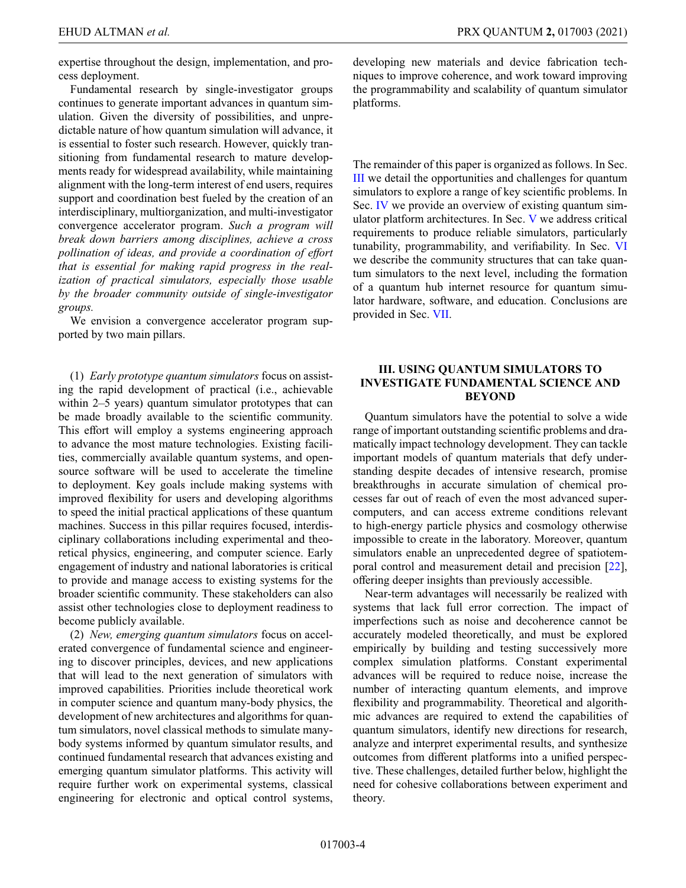expertise throughout the design, implementation, and process deployment.

Fundamental research by single-investigator groups continues to generate important advances in quantum simulation. Given the diversity of possibilities, and unpredictable nature of how quantum simulation will advance, it is essential to foster such research. However, quickly transitioning from fundamental research to mature developments ready for widespread availability, while maintaining alignment with the long-term interest of end users, requires support and coordination best fueled by the creation of an interdisciplinary, multiorganization, and multi-investigator convergence accelerator program. *Such a program will break down barriers among disciplines, achieve a cross pollination of ideas, and provide a coordination of effort that is essential for making rapid progress in the realization of practical simulators, especially those usable by the broader community outside of single-investigator groups.*

We envision a convergence accelerator program supported by two main pillars.

(1) *Early prototype quantum simulators* focus on assisting the rapid development of practical (i.e., achievable within 2–5 years) quantum simulator prototypes that can be made broadly available to the scientific community. This effort will employ a systems engineering approach to advance the most mature technologies. Existing facilities, commercially available quantum systems, and opensource software will be used to accelerate the timeline to deployment. Key goals include making systems with improved flexibility for users and developing algorithms to speed the initial practical applications of these quantum machines. Success in this pillar requires focused, interdisciplinary collaborations including experimental and theoretical physics, engineering, and computer science. Early engagement of industry and national laboratories is critical to provide and manage access to existing systems for the broader scientific community. These stakeholders can also assist other technologies close to deployment readiness to become publicly available.

(2) *New, emerging quantum simulators* focus on accelerated convergence of fundamental science and engineering to discover principles, devices, and new applications that will lead to the next generation of simulators with improved capabilities. Priorities include theoretical work in computer science and quantum many-body physics, the development of new architectures and algorithms for quantum simulators, novel classical methods to simulate manybody systems informed by quantum simulator results, and continued fundamental research that advances existing and emerging quantum simulator platforms. This activity will require further work on experimental systems, classical engineering for electronic and optical control systems,

developing new materials and device fabrication techniques to improve coherence, and work toward improving the programmability and scalability of quantum simulator platforms.

The remainder of this paper is organized as follows. In Sec. [III](#page-3-0) we detail the opportunities and challenges for quantum simulators to explore a range of key scientific problems. In Sec. [IV](#page-6-0) we provide an overview of existing quantum simulator platform architectures. In Sec. [V](#page-9-0) we address critical requirements to produce reliable simulators, particularly tunability, programmability, and verifiability. In Sec. [VI](#page-11-0) we describe the community structures that can take quantum simulators to the next level, including the formation of a quantum hub internet resource for quantum simulator hardware, software, and education. Conclusions are provided in Sec. [VII.](#page-13-12)

# <span id="page-3-0"></span>**III. USING QUANTUM SIMULATORS TO INVESTIGATE FUNDAMENTAL SCIENCE AND BEYOND**

Quantum simulators have the potential to solve a wide range of important outstanding scientific problems and dramatically impact technology development. They can tackle important models of quantum materials that defy understanding despite decades of intensive research, promise breakthroughs in accurate simulation of chemical processes far out of reach of even the most advanced supercomputers, and can access extreme conditions relevant to high-energy particle physics and cosmology otherwise impossible to create in the laboratory. Moreover, quantum simulators enable an unprecedented degree of spatiotemporal control and measurement detail and precision [\[22\]](#page-14-9), offering deeper insights than previously accessible.

Near-term advantages will necessarily be realized with systems that lack full error correction. The impact of imperfections such as noise and decoherence cannot be accurately modeled theoretically, and must be explored empirically by building and testing successively more complex simulation platforms. Constant experimental advances will be required to reduce noise, increase the number of interacting quantum elements, and improve flexibility and programmability. Theoretical and algorithmic advances are required to extend the capabilities of quantum simulators, identify new directions for research, analyze and interpret experimental results, and synthesize outcomes from different platforms into a unified perspective. These challenges, detailed further below, highlight the need for cohesive collaborations between experiment and theory.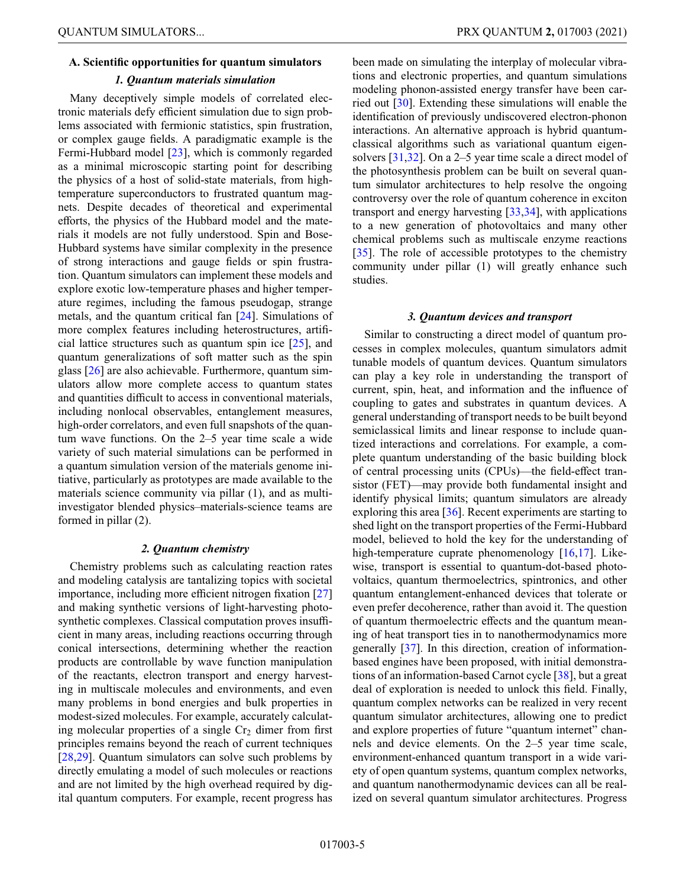# **A. Scientific opportunities for quantum simulators** *1. Quantum materials simulation*

Many deceptively simple models of correlated electronic materials defy efficient simulation due to sign problems associated with fermionic statistics, spin frustration, or complex gauge fields. A paradigmatic example is the Fermi-Hubbard model [\[23\]](#page-14-10), which is commonly regarded as a minimal microscopic starting point for describing the physics of a host of solid-state materials, from hightemperature superconductors to frustrated quantum magnets. Despite decades of theoretical and experimental efforts, the physics of the Hubbard model and the materials it models are not fully understood. Spin and Bose-Hubbard systems have similar complexity in the presence of strong interactions and gauge fields or spin frustration. Quantum simulators can implement these models and explore exotic low-temperature phases and higher temperature regimes, including the famous pseudogap, strange metals, and the quantum critical fan [\[24\]](#page-14-11). Simulations of more complex features including heterostructures, artificial lattice structures such as quantum spin ice [\[25\]](#page-14-12), and quantum generalizations of soft matter such as the spin glass [\[26\]](#page-14-13) are also achievable. Furthermore, quantum simulators allow more complete access to quantum states and quantities difficult to access in conventional materials, including nonlocal observables, entanglement measures, high-order correlators, and even full snapshots of the quantum wave functions. On the 2–5 year time scale a wide variety of such material simulations can be performed in a quantum simulation version of the materials genome initiative, particularly as prototypes are made available to the materials science community via pillar (1), and as multiinvestigator blended physics–materials-science teams are formed in pillar (2).

# *2. Quantum chemistry*

Chemistry problems such as calculating reaction rates and modeling catalysis are tantalizing topics with societal importance, including more efficient nitrogen fixation [\[27\]](#page-14-14) and making synthetic versions of light-harvesting photosynthetic complexes. Classical computation proves insufficient in many areas, including reactions occurring through conical intersections, determining whether the reaction products are controllable by wave function manipulation of the reactants, electron transport and energy harvesting in multiscale molecules and environments, and even many problems in bond energies and bulk properties in modest-sized molecules. For example, accurately calculating molecular properties of a single  $Cr<sub>2</sub>$  dimer from first principles remains beyond the reach of current techniques [\[28](#page-14-15)[,29\]](#page-14-16). Quantum simulators can solve such problems by directly emulating a model of such molecules or reactions and are not limited by the high overhead required by digital quantum computers. For example, recent progress has been made on simulating the interplay of molecular vibrations and electronic properties, and quantum simulations modeling phonon-assisted energy transfer have been carried out [\[30\]](#page-14-17). Extending these simulations will enable the identification of previously undiscovered electron-phonon interactions. An alternative approach is hybrid quantumclassical algorithms such as variational quantum eigensolvers [\[31,](#page-14-18)[32\]](#page-14-19). On a 2–5 year time scale a direct model of the photosynthesis problem can be built on several quantum simulator architectures to help resolve the ongoing controversy over the role of quantum coherence in exciton transport and energy harvesting [\[33](#page-14-20)[,34\]](#page-14-21), with applications to a new generation of photovoltaics and many other chemical problems such as multiscale enzyme reactions [\[35\]](#page-14-22). The role of accessible prototypes to the chemistry community under pillar (1) will greatly enhance such studies.

#### *3. Quantum devices and transport*

Similar to constructing a direct model of quantum processes in complex molecules, quantum simulators admit tunable models of quantum devices. Quantum simulators can play a key role in understanding the transport of current, spin, heat, and information and the influence of coupling to gates and substrates in quantum devices. A general understanding of transport needs to be built beyond semiclassical limits and linear response to include quantized interactions and correlations. For example, a complete quantum understanding of the basic building block of central processing units (CPUs)—the field-effect transistor (FET)—may provide both fundamental insight and identify physical limits; quantum simulators are already exploring this area [\[36\]](#page-14-23). Recent experiments are starting to shed light on the transport properties of the Fermi-Hubbard model, believed to hold the key for the understanding of high-temperature cuprate phenomenology [\[16](#page-14-3)[,17\]](#page-14-4). Likewise, transport is essential to quantum-dot-based photovoltaics, quantum thermoelectrics, spintronics, and other quantum entanglement-enhanced devices that tolerate or even prefer decoherence, rather than avoid it. The question of quantum thermoelectric effects and the quantum meaning of heat transport ties in to nanothermodynamics more generally [\[37\]](#page-14-24). In this direction, creation of informationbased engines have been proposed, with initial demonstrations of an information-based Carnot cycle [\[38\]](#page-14-25), but a great deal of exploration is needed to unlock this field. Finally, quantum complex networks can be realized in very recent quantum simulator architectures, allowing one to predict and explore properties of future "quantum internet" channels and device elements. On the 2–5 year time scale, environment-enhanced quantum transport in a wide variety of open quantum systems, quantum complex networks, and quantum nanothermodynamic devices can all be realized on several quantum simulator architectures. Progress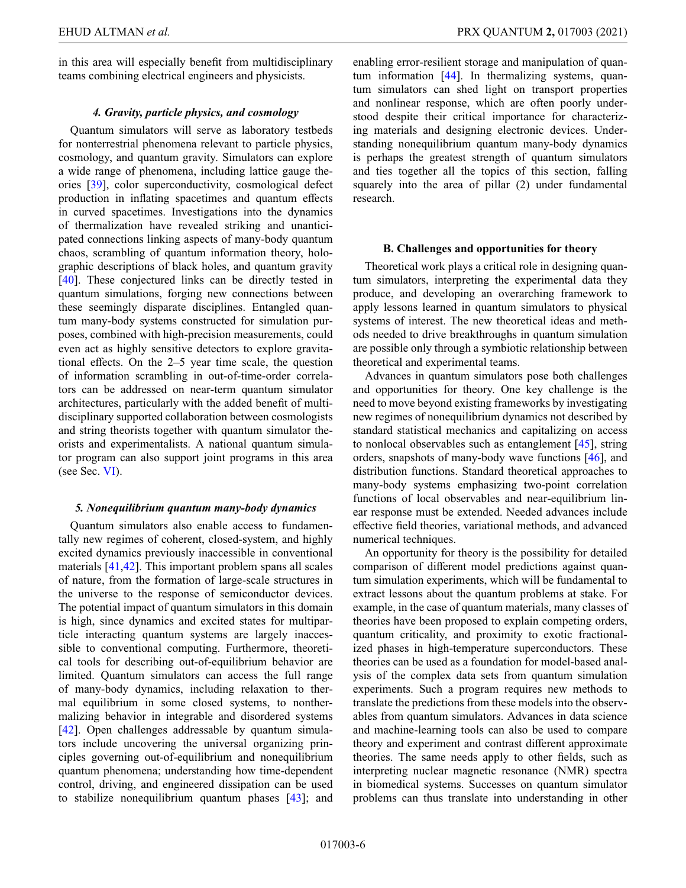EHUD ALTMAN *et al.* PRX QUANTUM **2,** 017003 (2021)

in this area will especially benefit from multidisciplinary teams combining electrical engineers and physicists.

# *4. Gravity, particle physics, and cosmology*

Quantum simulators will serve as laboratory testbeds for nonterrestrial phenomena relevant to particle physics, cosmology, and quantum gravity. Simulators can explore a wide range of phenomena, including lattice gauge theories [\[39\]](#page-14-26), color superconductivity, cosmological defect production in inflating spacetimes and quantum effects in curved spacetimes. Investigations into the dynamics of thermalization have revealed striking and unanticipated connections linking aspects of many-body quantum chaos, scrambling of quantum information theory, holographic descriptions of black holes, and quantum gravity [\[40\]](#page-14-27). These conjectured links can be directly tested in quantum simulations, forging new connections between these seemingly disparate disciplines. Entangled quantum many-body systems constructed for simulation purposes, combined with high-precision measurements, could even act as highly sensitive detectors to explore gravitational effects. On the 2–5 year time scale, the question of information scrambling in out-of-time-order correlators can be addressed on near-term quantum simulator architectures, particularly with the added benefit of multidisciplinary supported collaboration between cosmologists and string theorists together with quantum simulator theorists and experimentalists. A national quantum simulator program can also support joint programs in this area (see Sec. [VI\)](#page-11-0).

### *5. Nonequilibrium quantum many-body dynamics*

Quantum simulators also enable access to fundamentally new regimes of coherent, closed-system, and highly excited dynamics previously inaccessible in conventional materials [\[41,](#page-15-0)[42\]](#page-15-1). This important problem spans all scales of nature, from the formation of large-scale structures in the universe to the response of semiconductor devices. The potential impact of quantum simulators in this domain is high, since dynamics and excited states for multiparticle interacting quantum systems are largely inaccessible to conventional computing. Furthermore, theoretical tools for describing out-of-equilibrium behavior are limited. Quantum simulators can access the full range of many-body dynamics, including relaxation to thermal equilibrium in some closed systems, to nonthermalizing behavior in integrable and disordered systems [\[42\]](#page-15-1). Open challenges addressable by quantum simulators include uncovering the universal organizing principles governing out-of-equilibrium and nonequilibrium quantum phenomena; understanding how time-dependent control, driving, and engineered dissipation can be used to stabilize nonequilibrium quantum phases [\[43\]](#page-15-2); and enabling error-resilient storage and manipulation of quantum information [\[44\]](#page-15-3). In thermalizing systems, quantum simulators can shed light on transport properties and nonlinear response, which are often poorly understood despite their critical importance for characterizing materials and designing electronic devices. Understanding nonequilibrium quantum many-body dynamics is perhaps the greatest strength of quantum simulators and ties together all the topics of this section, falling squarely into the area of pillar (2) under fundamental research.

#### **B. Challenges and opportunities for theory**

Theoretical work plays a critical role in designing quantum simulators, interpreting the experimental data they produce, and developing an overarching framework to apply lessons learned in quantum simulators to physical systems of interest. The new theoretical ideas and methods needed to drive breakthroughs in quantum simulation are possible only through a symbiotic relationship between theoretical and experimental teams.

Advances in quantum simulators pose both challenges and opportunities for theory. One key challenge is the need to move beyond existing frameworks by investigating new regimes of nonequilibrium dynamics not described by standard statistical mechanics and capitalizing on access to nonlocal observables such as entanglement [\[45\]](#page-15-4), string orders, snapshots of many-body wave functions [\[46\]](#page-15-5), and distribution functions. Standard theoretical approaches to many-body systems emphasizing two-point correlation functions of local observables and near-equilibrium linear response must be extended. Needed advances include effective field theories, variational methods, and advanced numerical techniques.

An opportunity for theory is the possibility for detailed comparison of different model predictions against quantum simulation experiments, which will be fundamental to extract lessons about the quantum problems at stake. For example, in the case of quantum materials, many classes of theories have been proposed to explain competing orders, quantum criticality, and proximity to exotic fractionalized phases in high-temperature superconductors. These theories can be used as a foundation for model-based analysis of the complex data sets from quantum simulation experiments. Such a program requires new methods to translate the predictions from these models into the observables from quantum simulators. Advances in data science and machine-learning tools can also be used to compare theory and experiment and contrast different approximate theories. The same needs apply to other fields, such as interpreting nuclear magnetic resonance (NMR) spectra in biomedical systems. Successes on quantum simulator problems can thus translate into understanding in other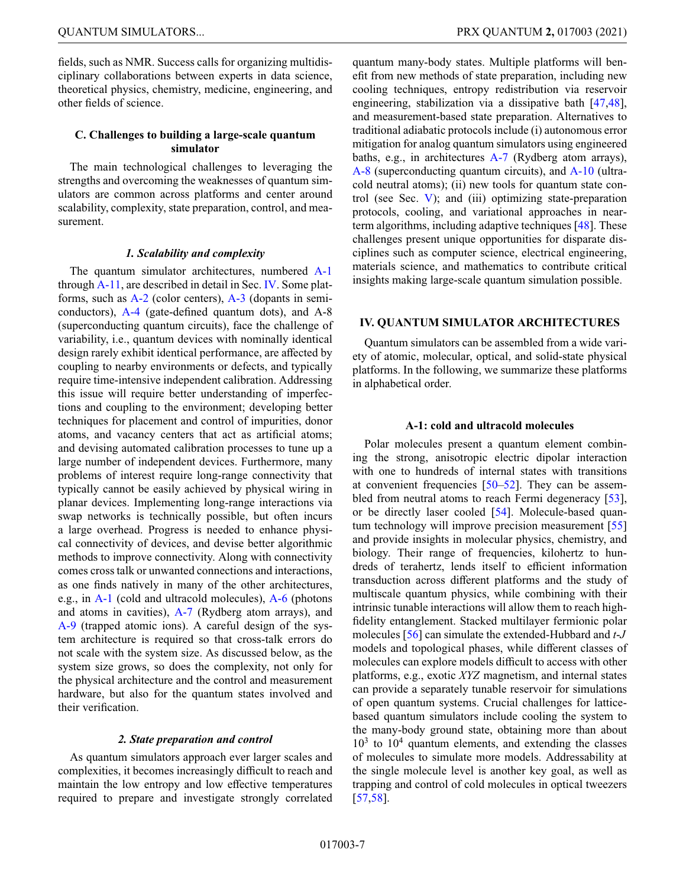fields, such as NMR. Success calls for organizing multidisciplinary collaborations between experts in data science, theoretical physics, chemistry, medicine, engineering, and other fields of science.

# **C. Challenges to building a large-scale quantum simulator**

The main technological challenges to leveraging the strengths and overcoming the weaknesses of quantum simulators are common across platforms and center around scalability, complexity, state preparation, control, and measurement.

# *1. Scalability and complexity*

The quantum simulator architectures, numbered [A-1](#page-6-1) through [A-11,](#page-9-1) are described in detail in Sec. [IV.](#page-6-0) Some platforms, such as [A-2](#page-7-0) (color centers), [A-3](#page-7-1) (dopants in semiconductors), [A-4](#page-7-2) (gate-defined quantum dots), and A-8 (superconducting quantum circuits), face the challenge of variability, i.e., quantum devices with nominally identical design rarely exhibit identical performance, are affected by coupling to nearby environments or defects, and typically require time-intensive independent calibration. Addressing this issue will require better understanding of imperfections and coupling to the environment; developing better techniques for placement and control of impurities, donor atoms, and vacancy centers that act as artificial atoms; and devising automated calibration processes to tune up a large number of independent devices. Furthermore, many problems of interest require long-range connectivity that typically cannot be easily achieved by physical wiring in planar devices. Implementing long-range interactions via swap networks is technically possible, but often incurs a large overhead. Progress is needed to enhance physical connectivity of devices, and devise better algorithmic methods to improve connectivity. Along with connectivity comes cross talk or unwanted connections and interactions, as one finds natively in many of the other architectures, e.g., in [A-1](#page-6-1) (cold and ultracold molecules), [A-6](#page-7-3) (photons and atoms in cavities), [A-7](#page-8-0) (Rydberg atom arrays), and [A-9](#page-8-1) (trapped atomic ions). A careful design of the system architecture is required so that cross-talk errors do not scale with the system size. As discussed below, as the system size grows, so does the complexity, not only for the physical architecture and the control and measurement hardware, but also for the quantum states involved and their verification.

### *2. State preparation and control*

As quantum simulators approach ever larger scales and complexities, it becomes increasingly difficult to reach and maintain the low entropy and low effective temperatures required to prepare and investigate strongly correlated quantum many-body states. Multiple platforms will benefit from new methods of state preparation, including new cooling techniques, entropy redistribution via reservoir engineering, stabilization via a dissipative bath [\[47,](#page-15-6)[48\]](#page-15-7), and measurement-based state preparation. Alternatives to traditional adiabatic protocols include (i) autonomous error mitigation for analog quantum simulators using engineered baths, e.g., in architectures [A-7](#page-8-0) (Rydberg atom arrays), [A-8](#page-8-2) (superconducting quantum circuits), and [A-10](#page-8-3) (ultracold neutral atoms); (ii) new tools for quantum state control (see Sec. [V\)](#page-9-0); and (iii) optimizing state-preparation protocols, cooling, and variational approaches in nearterm algorithms, including adaptive techniques [\[48\]](#page-15-7). These challenges present unique opportunities for disparate disciplines such as computer science, electrical engineering, materials science, and mathematics to contribute critical insights making large-scale quantum simulation possible.

# <span id="page-6-0"></span>**IV. QUANTUM SIMULATOR ARCHITECTURES**

Quantum simulators can be assembled from a wide variety of atomic, molecular, optical, and solid-state physical platforms. In the following, we summarize these platforms in alphabetical order.

### **A-1: cold and ultracold molecules**

<span id="page-6-1"></span>Polar molecules present a quantum element combining the strong, anisotropic electric dipolar interaction with one to hundreds of internal states with transitions at convenient frequencies [\[50](#page-15-8)[–52\]](#page-15-9). They can be assem-bled from neutral atoms to reach Fermi degeneracy [\[53\]](#page-15-10), or be directly laser cooled [\[54\]](#page-15-11). Molecule-based quantum technology will improve precision measurement [\[55\]](#page-15-12) and provide insights in molecular physics, chemistry, and biology. Their range of frequencies, kilohertz to hundreds of terahertz, lends itself to efficient information transduction across different platforms and the study of multiscale quantum physics, while combining with their intrinsic tunable interactions will allow them to reach highfidelity entanglement. Stacked multilayer fermionic polar molecules [\[56\]](#page-15-13) can simulate the extended-Hubbard and *t*-*J* models and topological phases, while different classes of molecules can explore models difficult to access with other platforms, e.g., exotic *XYZ* magnetism, and internal states can provide a separately tunable reservoir for simulations of open quantum systems. Crucial challenges for latticebased quantum simulators include cooling the system to the many-body ground state, obtaining more than about  $10<sup>3</sup>$  to  $10<sup>4</sup>$  quantum elements, and extending the classes of molecules to simulate more models. Addressability at the single molecule level is another key goal, as well as trapping and control of cold molecules in optical tweezers [\[57](#page-15-14)[,58\]](#page-15-15).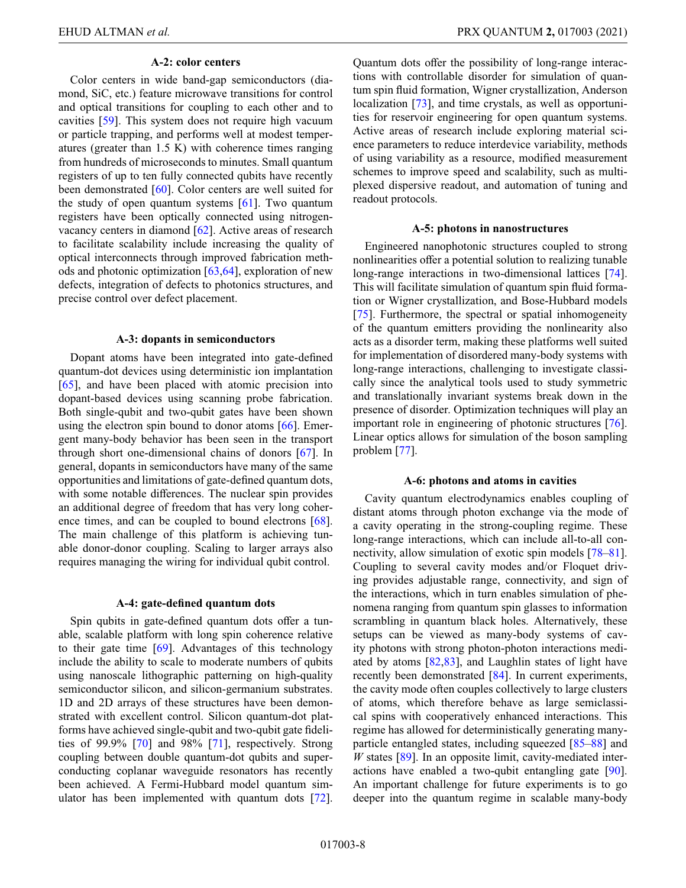### **A-2: color centers**

<span id="page-7-0"></span>Color centers in wide band-gap semiconductors (diamond, SiC, etc.) feature microwave transitions for control and optical transitions for coupling to each other and to cavities [\[59\]](#page-15-16). This system does not require high vacuum or particle trapping, and performs well at modest temperatures (greater than 1.5 K) with coherence times ranging from hundreds of microseconds to minutes. Small quantum registers of up to ten fully connected qubits have recently been demonstrated [\[60\]](#page-15-17). Color centers are well suited for the study of open quantum systems [\[61\]](#page-15-18). Two quantum registers have been optically connected using nitrogenvacancy centers in diamond [\[62\]](#page-15-19). Active areas of research to facilitate scalability include increasing the quality of optical interconnects through improved fabrication methods and photonic optimization [\[63,](#page-15-20)[64\]](#page-15-21), exploration of new defects, integration of defects to photonics structures, and precise control over defect placement.

### **A-3: dopants in semiconductors**

<span id="page-7-1"></span>Dopant atoms have been integrated into gate-defined quantum-dot devices using deterministic ion implantation [\[65\]](#page-15-22), and have been placed with atomic precision into dopant-based devices using scanning probe fabrication. Both single-qubit and two-qubit gates have been shown using the electron spin bound to donor atoms [\[66\]](#page-15-23). Emergent many-body behavior has been seen in the transport through short one-dimensional chains of donors [\[67\]](#page-15-24). In general, dopants in semiconductors have many of the same opportunities and limitations of gate-defined quantum dots, with some notable differences. The nuclear spin provides an additional degree of freedom that has very long coher-ence times, and can be coupled to bound electrons [\[68\]](#page-15-25). The main challenge of this platform is achieving tunable donor-donor coupling. Scaling to larger arrays also requires managing the wiring for individual qubit control.

### **A-4: gate-defined quantum dots**

<span id="page-7-2"></span>Spin qubits in gate-defined quantum dots offer a tunable, scalable platform with long spin coherence relative to their gate time  $[69]$ . Advantages of this technology include the ability to scale to moderate numbers of qubits using nanoscale lithographic patterning on high-quality semiconductor silicon, and silicon-germanium substrates. 1D and 2D arrays of these structures have been demonstrated with excellent control. Silicon quantum-dot platforms have achieved single-qubit and two-qubit gate fidelities of 99.9% [\[70\]](#page-15-27) and 98% [\[71\]](#page-16-0), respectively. Strong coupling between double quantum-dot qubits and superconducting coplanar waveguide resonators has recently been achieved. A Fermi-Hubbard model quantum simulator has been implemented with quantum dots [\[72\]](#page-16-1). Quantum dots offer the possibility of long-range interactions with controllable disorder for simulation of quantum spin fluid formation, Wigner crystallization, Anderson localization [\[73\]](#page-16-2), and time crystals, as well as opportunities for reservoir engineering for open quantum systems. Active areas of research include exploring material science parameters to reduce interdevice variability, methods of using variability as a resource, modified measurement schemes to improve speed and scalability, such as multiplexed dispersive readout, and automation of tuning and readout protocols.

### **A-5: photons in nanostructures**

Engineered nanophotonic structures coupled to strong nonlinearities offer a potential solution to realizing tunable long-range interactions in two-dimensional lattices [\[74\]](#page-16-3). This will facilitate simulation of quantum spin fluid formation or Wigner crystallization, and Bose-Hubbard models [\[75\]](#page-16-4). Furthermore, the spectral or spatial inhomogeneity of the quantum emitters providing the nonlinearity also acts as a disorder term, making these platforms well suited for implementation of disordered many-body systems with long-range interactions, challenging to investigate classically since the analytical tools used to study symmetric and translationally invariant systems break down in the presence of disorder. Optimization techniques will play an important role in engineering of photonic structures [\[76\]](#page-16-5). Linear optics allows for simulation of the boson sampling problem [\[77\]](#page-16-6).

#### **A-6: photons and atoms in cavities**

<span id="page-7-3"></span>Cavity quantum electrodynamics enables coupling of distant atoms through photon exchange via the mode of a cavity operating in the strong-coupling regime. These long-range interactions, which can include all-to-all connectivity, allow simulation of exotic spin models [\[78–](#page-16-7)[81\]](#page-16-8). Coupling to several cavity modes and/or Floquet driving provides adjustable range, connectivity, and sign of the interactions, which in turn enables simulation of phenomena ranging from quantum spin glasses to information scrambling in quantum black holes. Alternatively, these setups can be viewed as many-body systems of cavity photons with strong photon-photon interactions mediated by atoms [\[82](#page-16-9)[,83\]](#page-16-10), and Laughlin states of light have recently been demonstrated [\[84\]](#page-16-11). In current experiments, the cavity mode often couples collectively to large clusters of atoms, which therefore behave as large semiclassical spins with cooperatively enhanced interactions. This regime has allowed for deterministically generating manyparticle entangled states, including squeezed [\[85](#page-16-12)[–88\]](#page-16-13) and *W* states [\[89\]](#page-16-14). In an opposite limit, cavity-mediated interactions have enabled a two-qubit entangling gate [\[90\]](#page-16-15). An important challenge for future experiments is to go deeper into the quantum regime in scalable many-body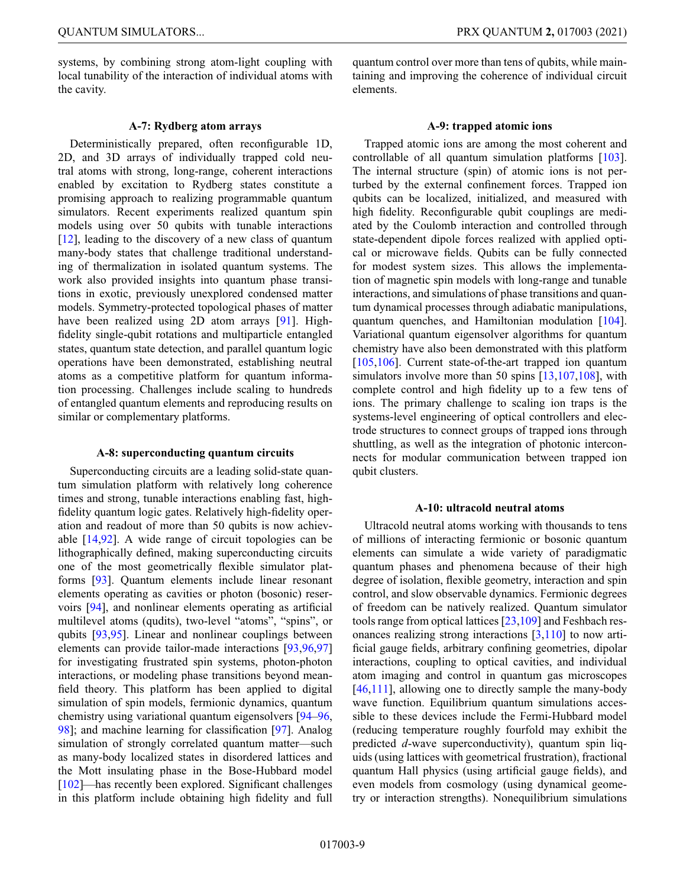systems, by combining strong atom-light coupling with local tunability of the interaction of individual atoms with the cavity.

**A-7: Rydberg atom arrays**

<span id="page-8-0"></span>Deterministically prepared, often reconfigurable 1D, 2D, and 3D arrays of individually trapped cold neutral atoms with strong, long-range, coherent interactions enabled by excitation to Rydberg states constitute a promising approach to realizing programmable quantum simulators. Recent experiments realized quantum spin models using over 50 qubits with tunable interactions [\[12\]](#page-13-11), leading to the discovery of a new class of quantum many-body states that challenge traditional understanding of thermalization in isolated quantum systems. The work also provided insights into quantum phase transitions in exotic, previously unexplored condensed matter models. Symmetry-protected topological phases of matter have been realized using 2D atom arrays [\[91\]](#page-16-16). Highfidelity single-qubit rotations and multiparticle entangled states, quantum state detection, and parallel quantum logic operations have been demonstrated, establishing neutral atoms as a competitive platform for quantum information processing. Challenges include scaling to hundreds of entangled quantum elements and reproducing results on similar or complementary platforms.

### **A-8: superconducting quantum circuits**

<span id="page-8-2"></span>Superconducting circuits are a leading solid-state quantum simulation platform with relatively long coherence times and strong, tunable interactions enabling fast, highfidelity quantum logic gates. Relatively high-fidelity operation and readout of more than 50 qubits is now achievable [\[14,](#page-14-1)[92\]](#page-16-17). A wide range of circuit topologies can be lithographically defined, making superconducting circuits one of the most geometrically flexible simulator platforms [\[93\]](#page-16-18). Quantum elements include linear resonant elements operating as cavities or photon (bosonic) reservoirs [\[94\]](#page-16-19), and nonlinear elements operating as artificial multilevel atoms (qudits), two-level "atoms", "spins", or qubits [\[93,](#page-16-18)[95\]](#page-16-20). Linear and nonlinear couplings between elements can provide tailor-made interactions [\[93,](#page-16-18)[96](#page-16-21)[,97\]](#page-16-22) for investigating frustrated spin systems, photon-photon interactions, or modeling phase transitions beyond meanfield theory. This platform has been applied to digital simulation of spin models, fermionic dynamics, quantum chemistry using variational quantum eigensolvers [\[94](#page-16-19)[–96,](#page-16-21) [98\]](#page-16-23); and machine learning for classification [\[97\]](#page-16-22). Analog simulation of strongly correlated quantum matter—such as many-body localized states in disordered lattices and the Mott insulating phase in the Bose-Hubbard model [\[102\]](#page-17-0)—has recently been explored. Significant challenges in this platform include obtaining high fidelity and full quantum control over more than tens of qubits, while maintaining and improving the coherence of individual circuit elements.

### **A-9: trapped atomic ions**

<span id="page-8-1"></span>Trapped atomic ions are among the most coherent and controllable of all quantum simulation platforms [\[103\]](#page-17-1). The internal structure (spin) of atomic ions is not perturbed by the external confinement forces. Trapped ion qubits can be localized, initialized, and measured with high fidelity. Reconfigurable qubit couplings are mediated by the Coulomb interaction and controlled through state-dependent dipole forces realized with applied optical or microwave fields. Qubits can be fully connected for modest system sizes. This allows the implementation of magnetic spin models with long-range and tunable interactions, and simulations of phase transitions and quantum dynamical processes through adiabatic manipulations, quantum quenches, and Hamiltonian modulation [\[104\]](#page-17-2). Variational quantum eigensolver algorithms for quantum chemistry have also been demonstrated with this platform [\[105,](#page-17-3)[106\]](#page-17-4). Current state-of-the-art trapped ion quantum simulators involve more than 50 spins [\[13,](#page-14-0)[107](#page-17-5)[,108\]](#page-17-6), with complete control and high fidelity up to a few tens of ions. The primary challenge to scaling ion traps is the systems-level engineering of optical controllers and electrode structures to connect groups of trapped ions through shuttling, as well as the integration of photonic interconnects for modular communication between trapped ion qubit clusters.

#### **A-10: ultracold neutral atoms**

<span id="page-8-3"></span>Ultracold neutral atoms working with thousands to tens of millions of interacting fermionic or bosonic quantum elements can simulate a wide variety of paradigmatic quantum phases and phenomena because of their high degree of isolation, flexible geometry, interaction and spin control, and slow observable dynamics. Fermionic degrees of freedom can be natively realized. Quantum simulator tools range from optical lattices [\[23](#page-14-10)[,109\]](#page-17-7) and Feshbach resonances realizing strong interactions [\[3](#page-13-2)[,110\]](#page-17-8) to now artificial gauge fields, arbitrary confining geometries, dipolar interactions, coupling to optical cavities, and individual atom imaging and control in quantum gas microscopes [\[46](#page-15-5)[,111\]](#page-17-9), allowing one to directly sample the many-body wave function. Equilibrium quantum simulations accessible to these devices include the Fermi-Hubbard model (reducing temperature roughly fourfold may exhibit the predicted *d*-wave superconductivity), quantum spin liquids (using lattices with geometrical frustration), fractional quantum Hall physics (using artificial gauge fields), and even models from cosmology (using dynamical geometry or interaction strengths). Nonequilibrium simulations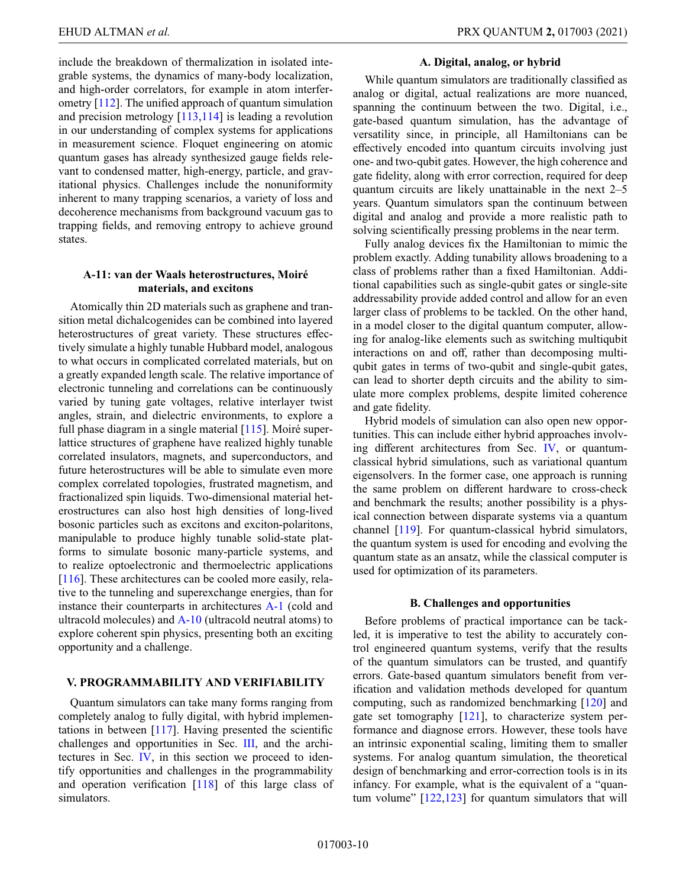include the breakdown of thermalization in isolated integrable systems, the dynamics of many-body localization, and high-order correlators, for example in atom interferometry [\[112\]](#page-17-10). The unified approach of quantum simulation and precision metrology [\[113](#page-17-11)[,114\]](#page-17-12) is leading a revolution in our understanding of complex systems for applications in measurement science. Floquet engineering on atomic quantum gases has already synthesized gauge fields relevant to condensed matter, high-energy, particle, and gravitational physics. Challenges include the nonuniformity inherent to many trapping scenarios, a variety of loss and decoherence mechanisms from background vacuum gas to trapping fields, and removing entropy to achieve ground states.

# **A-11: van der Waals heterostructures, Moiré materials, and excitons**

<span id="page-9-1"></span>Atomically thin 2D materials such as graphene and transition metal dichalcogenides can be combined into layered heterostructures of great variety. These structures effectively simulate a highly tunable Hubbard model, analogous to what occurs in complicated correlated materials, but on a greatly expanded length scale. The relative importance of electronic tunneling and correlations can be continuously varied by tuning gate voltages, relative interlayer twist angles, strain, and dielectric environments, to explore a full phase diagram in a single material [\[115\]](#page-17-13). Moiré superlattice structures of graphene have realized highly tunable correlated insulators, magnets, and superconductors, and future heterostructures will be able to simulate even more complex correlated topologies, frustrated magnetism, and fractionalized spin liquids. Two-dimensional material heterostructures can also host high densities of long-lived bosonic particles such as excitons and exciton-polaritons, manipulable to produce highly tunable solid-state platforms to simulate bosonic many-particle systems, and to realize optoelectronic and thermoelectric applications [\[116\]](#page-17-14). These architectures can be cooled more easily, relative to the tunneling and superexchange energies, than for instance their counterparts in architectures [A-1](#page-6-1) (cold and ultracold molecules) and [A-10](#page-8-3) (ultracold neutral atoms) to explore coherent spin physics, presenting both an exciting opportunity and a challenge.

# <span id="page-9-0"></span>**V. PROGRAMMABILITY AND VERIFIABILITY**

Quantum simulators can take many forms ranging from completely analog to fully digital, with hybrid implementations in between  $[117]$ . Having presented the scientific challenges and opportunities in Sec. [III,](#page-3-0) and the architectures in Sec. [IV,](#page-6-0) in this section we proceed to identify opportunities and challenges in the programmability and operation verification [\[118\]](#page-17-16) of this large class of simulators.

### **A. Digital, analog, or hybrid**

While quantum simulators are traditionally classified as analog or digital, actual realizations are more nuanced, spanning the continuum between the two. Digital, i.e., gate-based quantum simulation, has the advantage of versatility since, in principle, all Hamiltonians can be effectively encoded into quantum circuits involving just one- and two-qubit gates. However, the high coherence and gate fidelity, along with error correction, required for deep quantum circuits are likely unattainable in the next 2–5 years. Quantum simulators span the continuum between digital and analog and provide a more realistic path to solving scientifically pressing problems in the near term.

Fully analog devices fix the Hamiltonian to mimic the problem exactly. Adding tunability allows broadening to a class of problems rather than a fixed Hamiltonian. Additional capabilities such as single-qubit gates or single-site addressability provide added control and allow for an even larger class of problems to be tackled. On the other hand, in a model closer to the digital quantum computer, allowing for analog-like elements such as switching multiqubit interactions on and off, rather than decomposing multiqubit gates in terms of two-qubit and single-qubit gates, can lead to shorter depth circuits and the ability to simulate more complex problems, despite limited coherence and gate fidelity.

Hybrid models of simulation can also open new opportunities. This can include either hybrid approaches involving different architectures from Sec. [IV,](#page-6-0) or quantumclassical hybrid simulations, such as variational quantum eigensolvers. In the former case, one approach is running the same problem on different hardware to cross-check and benchmark the results; another possibility is a physical connection between disparate systems via a quantum channel [\[119\]](#page-17-17). For quantum-classical hybrid simulators, the quantum system is used for encoding and evolving the quantum state as an ansatz, while the classical computer is used for optimization of its parameters.

### **B. Challenges and opportunities**

Before problems of practical importance can be tackled, it is imperative to test the ability to accurately control engineered quantum systems, verify that the results of the quantum simulators can be trusted, and quantify errors. Gate-based quantum simulators benefit from verification and validation methods developed for quantum computing, such as randomized benchmarking [\[120\]](#page-17-18) and gate set tomography [\[121\]](#page-17-19), to characterize system performance and diagnose errors. However, these tools have an intrinsic exponential scaling, limiting them to smaller systems. For analog quantum simulation, the theoretical design of benchmarking and error-correction tools is in its infancy. For example, what is the equivalent of a "quantum volume" [\[122](#page-17-20)[,123\]](#page-17-21) for quantum simulators that will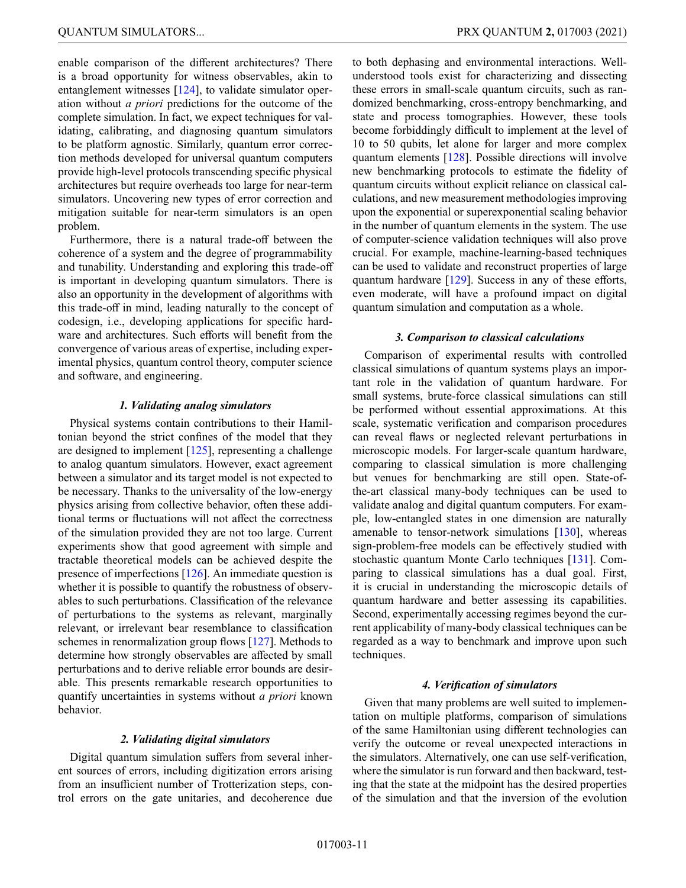enable comparison of the different architectures? There is a broad opportunity for witness observables, akin to entanglement witnesses [\[124\]](#page-17-22), to validate simulator operation without *a priori* predictions for the outcome of the complete simulation. In fact, we expect techniques for validating, calibrating, and diagnosing quantum simulators to be platform agnostic. Similarly, quantum error correction methods developed for universal quantum computers provide high-level protocols transcending specific physical architectures but require overheads too large for near-term simulators. Uncovering new types of error correction and mitigation suitable for near-term simulators is an open problem.

Furthermore, there is a natural trade-off between the coherence of a system and the degree of programmability and tunability. Understanding and exploring this trade-off is important in developing quantum simulators. There is also an opportunity in the development of algorithms with this trade-off in mind, leading naturally to the concept of codesign, i.e., developing applications for specific hardware and architectures. Such efforts will benefit from the convergence of various areas of expertise, including experimental physics, quantum control theory, computer science and software, and engineering.

# *1. Validating analog simulators*

Physical systems contain contributions to their Hamiltonian beyond the strict confines of the model that they are designed to implement  $[125]$ , representing a challenge to analog quantum simulators. However, exact agreement between a simulator and its target model is not expected to be necessary. Thanks to the universality of the low-energy physics arising from collective behavior, often these additional terms or fluctuations will not affect the correctness of the simulation provided they are not too large. Current experiments show that good agreement with simple and tractable theoretical models can be achieved despite the presence of imperfections [\[126\]](#page-17-24). An immediate question is whether it is possible to quantify the robustness of observables to such perturbations. Classification of the relevance of perturbations to the systems as relevant, marginally relevant, or irrelevant bear resemblance to classification schemes in renormalization group flows [\[127\]](#page-17-25). Methods to determine how strongly observables are affected by small perturbations and to derive reliable error bounds are desirable. This presents remarkable research opportunities to quantify uncertainties in systems without *a priori* known behavior.

### *2. Validating digital simulators*

Digital quantum simulation suffers from several inherent sources of errors, including digitization errors arising from an insufficient number of Trotterization steps, control errors on the gate unitaries, and decoherence due to both dephasing and environmental interactions. Wellunderstood tools exist for characterizing and dissecting these errors in small-scale quantum circuits, such as randomized benchmarking, cross-entropy benchmarking, and state and process tomographies. However, these tools become forbiddingly difficult to implement at the level of 10 to 50 qubits, let alone for larger and more complex quantum elements [\[128\]](#page-17-26). Possible directions will involve new benchmarking protocols to estimate the fidelity of quantum circuits without explicit reliance on classical calculations, and new measurement methodologies improving upon the exponential or superexponential scaling behavior in the number of quantum elements in the system. The use of computer-science validation techniques will also prove crucial. For example, machine-learning-based techniques can be used to validate and reconstruct properties of large quantum hardware [\[129\]](#page-17-27). Success in any of these efforts, even moderate, will have a profound impact on digital quantum simulation and computation as a whole.

### *3. Comparison to classical calculations*

Comparison of experimental results with controlled classical simulations of quantum systems plays an important role in the validation of quantum hardware. For small systems, brute-force classical simulations can still be performed without essential approximations. At this scale, systematic verification and comparison procedures can reveal flaws or neglected relevant perturbations in microscopic models. For larger-scale quantum hardware, comparing to classical simulation is more challenging but venues for benchmarking are still open. State-ofthe-art classical many-body techniques can be used to validate analog and digital quantum computers. For example, low-entangled states in one dimension are naturally amenable to tensor-network simulations [\[130\]](#page-17-28), whereas sign-problem-free models can be effectively studied with stochastic quantum Monte Carlo techniques [\[131\]](#page-18-0). Comparing to classical simulations has a dual goal. First, it is crucial in understanding the microscopic details of quantum hardware and better assessing its capabilities. Second, experimentally accessing regimes beyond the current applicability of many-body classical techniques can be regarded as a way to benchmark and improve upon such techniques.

### *4. Verification of simulators*

Given that many problems are well suited to implementation on multiple platforms, comparison of simulations of the same Hamiltonian using different technologies can verify the outcome or reveal unexpected interactions in the simulators. Alternatively, one can use self-verification, where the simulator is run forward and then backward, testing that the state at the midpoint has the desired properties of the simulation and that the inversion of the evolution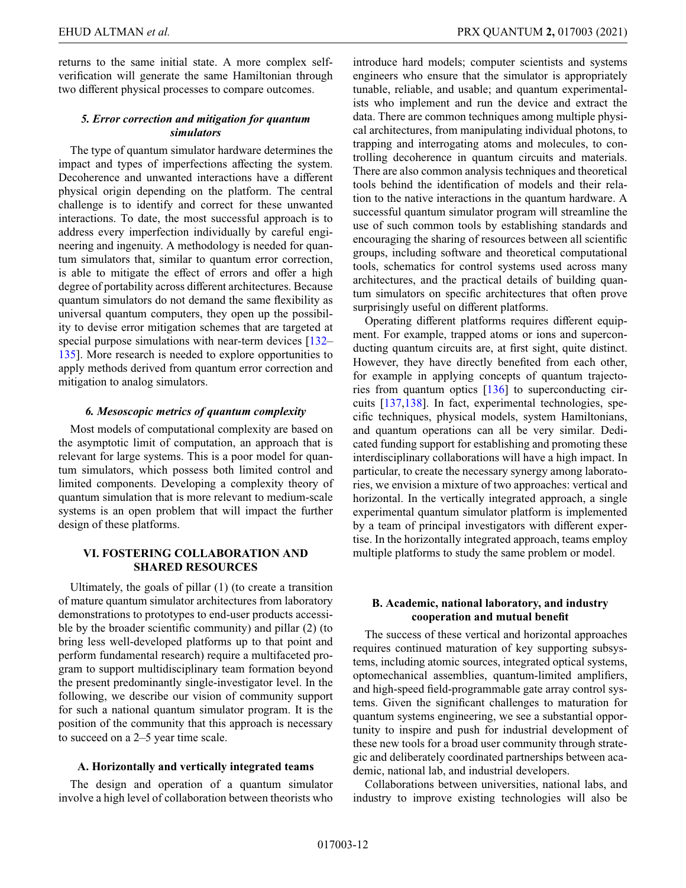returns to the same initial state. A more complex selfverification will generate the same Hamiltonian through two different physical processes to compare outcomes.

# *5. Error correction and mitigation for quantum simulators*

The type of quantum simulator hardware determines the impact and types of imperfections affecting the system. Decoherence and unwanted interactions have a different physical origin depending on the platform. The central challenge is to identify and correct for these unwanted interactions. To date, the most successful approach is to address every imperfection individually by careful engineering and ingenuity. A methodology is needed for quantum simulators that, similar to quantum error correction, is able to mitigate the effect of errors and offer a high degree of portability across different architectures. Because quantum simulators do not demand the same flexibility as universal quantum computers, they open up the possibility to devise error mitigation schemes that are targeted at special purpose simulations with near-term devices [\[132–](#page-18-1) [135\]](#page-18-2). More research is needed to explore opportunities to apply methods derived from quantum error correction and mitigation to analog simulators.

# *6. Mesoscopic metrics of quantum complexity*

Most models of computational complexity are based on the asymptotic limit of computation, an approach that is relevant for large systems. This is a poor model for quantum simulators, which possess both limited control and limited components. Developing a complexity theory of quantum simulation that is more relevant to medium-scale systems is an open problem that will impact the further design of these platforms.

# <span id="page-11-0"></span>**VI. FOSTERING COLLABORATION AND SHARED RESOURCES**

Ultimately, the goals of pillar (1) (to create a transition of mature quantum simulator architectures from laboratory demonstrations to prototypes to end-user products accessible by the broader scientific community) and pillar (2) (to bring less well-developed platforms up to that point and perform fundamental research) require a multifaceted program to support multidisciplinary team formation beyond the present predominantly single-investigator level. In the following, we describe our vision of community support for such a national quantum simulator program. It is the position of the community that this approach is necessary to succeed on a 2–5 year time scale.

### **A. Horizontally and vertically integrated teams**

The design and operation of a quantum simulator involve a high level of collaboration between theorists who introduce hard models; computer scientists and systems engineers who ensure that the simulator is appropriately tunable, reliable, and usable; and quantum experimentalists who implement and run the device and extract the data. There are common techniques among multiple physical architectures, from manipulating individual photons, to trapping and interrogating atoms and molecules, to controlling decoherence in quantum circuits and materials. There are also common analysis techniques and theoretical tools behind the identification of models and their relation to the native interactions in the quantum hardware. A successful quantum simulator program will streamline the use of such common tools by establishing standards and encouraging the sharing of resources between all scientific groups, including software and theoretical computational tools, schematics for control systems used across many architectures, and the practical details of building quantum simulators on specific architectures that often prove surprisingly useful on different platforms.

Operating different platforms requires different equipment. For example, trapped atoms or ions and superconducting quantum circuits are, at first sight, quite distinct. However, they have directly benefited from each other, for example in applying concepts of quantum trajectories from quantum optics [\[136\]](#page-18-3) to superconducting circuits [\[137,](#page-18-4)[138\]](#page-18-5). In fact, experimental technologies, specific techniques, physical models, system Hamiltonians, and quantum operations can all be very similar. Dedicated funding support for establishing and promoting these interdisciplinary collaborations will have a high impact. In particular, to create the necessary synergy among laboratories, we envision a mixture of two approaches: vertical and horizontal. In the vertically integrated approach, a single experimental quantum simulator platform is implemented by a team of principal investigators with different expertise. In the horizontally integrated approach, teams employ multiple platforms to study the same problem or model.

# **B. Academic, national laboratory, and industry cooperation and mutual benefit**

The success of these vertical and horizontal approaches requires continued maturation of key supporting subsystems, including atomic sources, integrated optical systems, optomechanical assemblies, quantum-limited amplifiers, and high-speed field-programmable gate array control systems. Given the significant challenges to maturation for quantum systems engineering, we see a substantial opportunity to inspire and push for industrial development of these new tools for a broad user community through strategic and deliberately coordinated partnerships between academic, national lab, and industrial developers.

Collaborations between universities, national labs, and industry to improve existing technologies will also be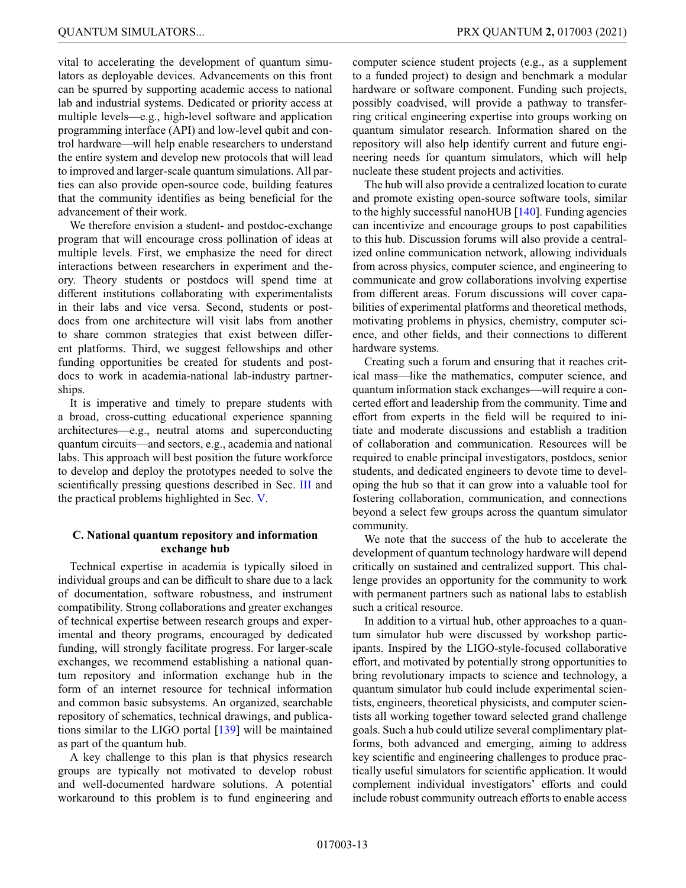vital to accelerating the development of quantum simulators as deployable devices. Advancements on this front can be spurred by supporting academic access to national lab and industrial systems. Dedicated or priority access at multiple levels—e.g., high-level software and application programming interface (API) and low-level qubit and control hardware—will help enable researchers to understand the entire system and develop new protocols that will lead to improved and larger-scale quantum simulations. All parties can also provide open-source code, building features that the community identifies as being beneficial for the advancement of their work.

We therefore envision a student- and postdoc-exchange program that will encourage cross pollination of ideas at multiple levels. First, we emphasize the need for direct interactions between researchers in experiment and theory. Theory students or postdocs will spend time at different institutions collaborating with experimentalists in their labs and vice versa. Second, students or postdocs from one architecture will visit labs from another to share common strategies that exist between different platforms. Third, we suggest fellowships and other funding opportunities be created for students and postdocs to work in academia-national lab-industry partnerships.

It is imperative and timely to prepare students with a broad, cross-cutting educational experience spanning architectures—e.g., neutral atoms and superconducting quantum circuits—and sectors, e.g., academia and national labs. This approach will best position the future workforce to develop and deploy the prototypes needed to solve the scientifically pressing questions described in Sec. [III](#page-3-0) and the practical problems highlighted in Sec. [V.](#page-9-0)

# **C. National quantum repository and information exchange hub**

Technical expertise in academia is typically siloed in individual groups and can be difficult to share due to a lack of documentation, software robustness, and instrument compatibility. Strong collaborations and greater exchanges of technical expertise between research groups and experimental and theory programs, encouraged by dedicated funding, will strongly facilitate progress. For larger-scale exchanges, we recommend establishing a national quantum repository and information exchange hub in the form of an internet resource for technical information and common basic subsystems. An organized, searchable repository of schematics, technical drawings, and publications similar to the LIGO portal [\[139\]](#page-18-6) will be maintained as part of the quantum hub.

A key challenge to this plan is that physics research groups are typically not motivated to develop robust and well-documented hardware solutions. A potential workaround to this problem is to fund engineering and computer science student projects (e.g., as a supplement to a funded project) to design and benchmark a modular hardware or software component. Funding such projects, possibly coadvised, will provide a pathway to transferring critical engineering expertise into groups working on quantum simulator research. Information shared on the repository will also help identify current and future engineering needs for quantum simulators, which will help nucleate these student projects and activities.

The hub will also provide a centralized location to curate and promote existing open-source software tools, similar to the highly successful nanoHUB [\[140\]](#page-18-7). Funding agencies can incentivize and encourage groups to post capabilities to this hub. Discussion forums will also provide a centralized online communication network, allowing individuals from across physics, computer science, and engineering to communicate and grow collaborations involving expertise from different areas. Forum discussions will cover capabilities of experimental platforms and theoretical methods, motivating problems in physics, chemistry, computer science, and other fields, and their connections to different hardware systems.

Creating such a forum and ensuring that it reaches critical mass—like the mathematics, computer science, and quantum information stack exchanges—will require a concerted effort and leadership from the community. Time and effort from experts in the field will be required to initiate and moderate discussions and establish a tradition of collaboration and communication. Resources will be required to enable principal investigators, postdocs, senior students, and dedicated engineers to devote time to developing the hub so that it can grow into a valuable tool for fostering collaboration, communication, and connections beyond a select few groups across the quantum simulator community.

We note that the success of the hub to accelerate the development of quantum technology hardware will depend critically on sustained and centralized support. This challenge provides an opportunity for the community to work with permanent partners such as national labs to establish such a critical resource.

In addition to a virtual hub, other approaches to a quantum simulator hub were discussed by workshop participants. Inspired by the LIGO-style-focused collaborative effort, and motivated by potentially strong opportunities to bring revolutionary impacts to science and technology, a quantum simulator hub could include experimental scientists, engineers, theoretical physicists, and computer scientists all working together toward selected grand challenge goals. Such a hub could utilize several complimentary platforms, both advanced and emerging, aiming to address key scientific and engineering challenges to produce practically useful simulators for scientific application. It would complement individual investigators' efforts and could include robust community outreach efforts to enable access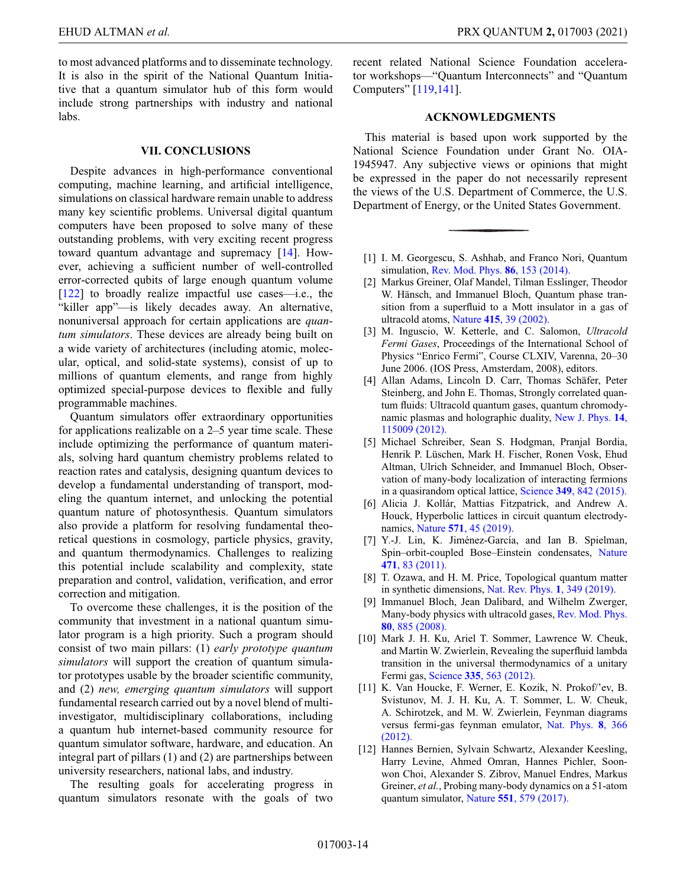to most advanced platforms and to disseminate technology. It is also in the spirit of the National Quantum Initiative that a quantum simulator hub of this form would include strong partnerships with industry and national labs.

### <span id="page-13-12"></span>**VII. CONCLUSIONS**

Despite advances in high-performance conventional computing, machine learning, and artificial intelligence, simulations on classical hardware remain unable to address many key scientific problems. Universal digital quantum computers have been proposed to solve many of these outstanding problems, with very exciting recent progress toward quantum advantage and supremacy [\[14\]](#page-14-1). However, achieving a sufficient number of well-controlled error-corrected qubits of large enough quantum volume [\[122\]](#page-17-20) to broadly realize impactful use cases—i.e., the "killer app"—is likely decades away. An alternative, nonuniversal approach for certain applications are *quantum simulators*. These devices are already being built on a wide variety of architectures (including atomic, molecular, optical, and solid-state systems), consist of up to millions of quantum elements, and range from highly optimized special-purpose devices to flexible and fully programmable machines.

Quantum simulators offer extraordinary opportunities for applications realizable on a 2–5 year time scale. These include optimizing the performance of quantum materials, solving hard quantum chemistry problems related to reaction rates and catalysis, designing quantum devices to develop a fundamental understanding of transport, modeling the quantum internet, and unlocking the potential quantum nature of photosynthesis. Quantum simulators also provide a platform for resolving fundamental theoretical questions in cosmology, particle physics, gravity, and quantum thermodynamics. Challenges to realizing this potential include scalability and complexity, state preparation and control, validation, verification, and error correction and mitigation.

To overcome these challenges, it is the position of the community that investment in a national quantum simulator program is a high priority. Such a program should consist of two main pillars: (1) *early prototype quantum simulators* will support the creation of quantum simulator prototypes usable by the broader scientific community, and (2) *new, emerging quantum simulators* will support fundamental research carried out by a novel blend of multiinvestigator, multidisciplinary collaborations, including a quantum hub internet-based community resource for quantum simulator software, hardware, and education. An integral part of pillars (1) and (2) are partnerships between university researchers, national labs, and industry.

The resulting goals for accelerating progress in quantum simulators resonate with the goals of two recent related National Science Foundation accelerator workshops—"Quantum Interconnects" and "Quantum Computers" [\[119](#page-17-17)[,141\]](#page-18-8).

# **ACKNOWLEDGMENTS**

This material is based upon work supported by the National Science Foundation under Grant No. OIA-1945947. Any subjective views or opinions that might be expressed in the paper do not necessarily represent the views of the U.S. Department of Commerce, the U.S. Department of Energy, or the United States Government.

- <span id="page-13-0"></span>[1] I. M. Georgescu, S. Ashhab, and Franco Nori, Quantum simulation, [Rev. Mod. Phys.](https://doi.org/10.1103/RevModPhys.86.153) **86**, 153 (2014).
- <span id="page-13-1"></span>[2] Markus Greiner, Olaf Mandel, Tilman Esslinger, Theodor W. Hänsch, and Immanuel Bloch, Quantum phase transition from a superfluid to a Mott insulator in a gas of ultracold atoms, Nature **415**[, 39 \(2002\).](https://doi.org/10.1038/415039a)
- <span id="page-13-2"></span>[3] M. Inguscio, W. Ketterle, and C. Salomon, *Ultracold Fermi Gases*, Proceedings of the International School of Physics "Enrico Fermi", Course CLXIV, Varenna, 20–30 June 2006. (IOS Press, Amsterdam, 2008), editors.
- <span id="page-13-3"></span>[4] Allan Adams, Lincoln D. Carr, Thomas Schäfer, Peter Steinberg, and John E. Thomas, Strongly correlated quantum fluids: Ultracold quantum gases, quantum chromody[namic plasmas and holographic duality,](https://doi.org/10.1088/1367-2630/14/11/115009) New J. Phys. **14**, 115009 (2012).
- <span id="page-13-4"></span>[5] Michael Schreiber, Sean S. Hodgman, Pranjal Bordia, Henrik P. Lüschen, Mark H. Fischer, Ronen Vosk, Ehud Altman, Ulrich Schneider, and Immanuel Bloch, Observation of many-body localization of interacting fermions in a quasirandom optical lattice, Science **349**[, 842 \(2015\).](https://doi.org/10.1126/science.aaa7432)
- <span id="page-13-5"></span>[6] Alicia J. Kollár, Mattias Fitzpatrick, and Andrew A. Houck, Hyperbolic lattices in circuit quantum electrodynamics, Nature **571**[, 45 \(2019\).](https://doi.org/10.1038/s41586-019-1348-3)
- <span id="page-13-6"></span>[7] Y.-J. Lin, K. Jiménez-García, and Ian B. Spielman, [Spin–orbit-coupled Bose–Einstein condensates,](https://doi.org/10.1038/nature09887) Nature **471**, 83 (2011).
- <span id="page-13-7"></span>[8] T. Ozawa, and H. M. Price, Topological quantum matter in synthetic dimensions, [Nat. Rev. Phys.](https://doi.org/10.1038/s42254-019-0045-3) **1**, 349 (2019).
- <span id="page-13-8"></span>[9] Immanuel Bloch, Jean Dalibard, and Wilhelm Zwerger, [Many-body physics with ultracold gases,](https://doi.org/10.1103/RevModPhys.80.885) Rev. Mod. Phys. **80**, 885 (2008).
- <span id="page-13-9"></span>[10] Mark J. H. Ku, Ariel T. Sommer, Lawrence W. Cheuk, and Martin W. Zwierlein, Revealing the superfluid lambda transition in the universal thermodynamics of a unitary Fermi gas, Science **335**[, 563 \(2012\).](https://doi.org/10.1126/science.1214987)
- <span id="page-13-10"></span>[11] K. Van Houcke, F. Werner, E. Kozik, N. Prokof/'ev, B. Svistunov, M. J. H. Ku, A. T. Sommer, L. W. Cheuk, A. Schirotzek, and M. W. Zwierlein, Feynman diagrams [versus fermi-gas feynman emulator,](https://doi.org/10.1038/nphys2273) Nat. Phys. **8**, 366 (2012).
- <span id="page-13-11"></span>[12] Hannes Bernien, Sylvain Schwartz, Alexander Keesling, Harry Levine, Ahmed Omran, Hannes Pichler, Soonwon Choi, Alexander S. Zibrov, Manuel Endres, Markus Greiner, *et al.*, Probing many-body dynamics on a 51-atom quantum simulator, Nature **551**[, 579 \(2017\).](https://doi.org/10.1038/nature24622)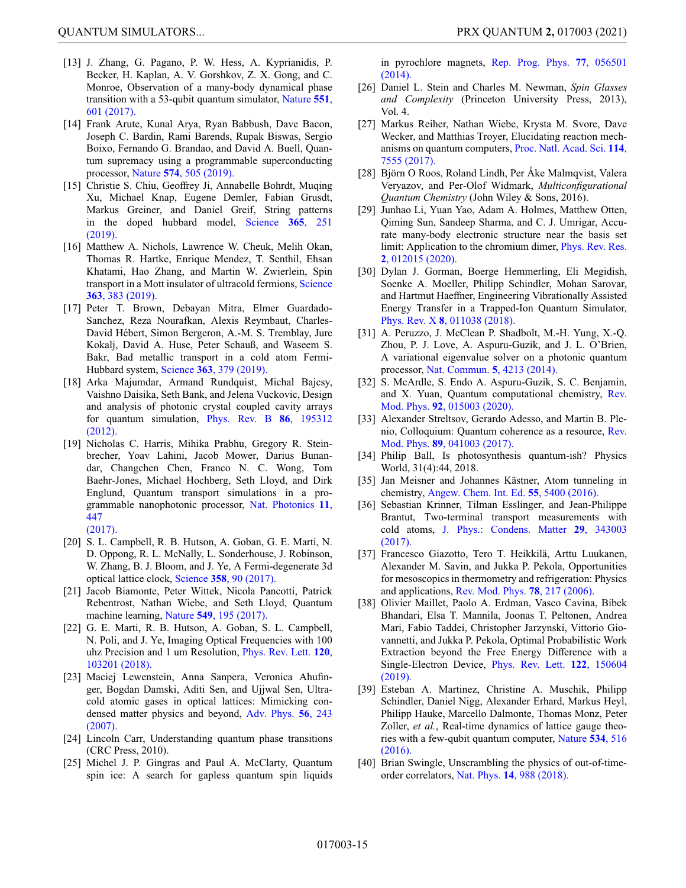- <span id="page-14-0"></span>[13] J. Zhang, G. Pagano, P. W. Hess, A. Kyprianidis, P. Becker, H. Kaplan, A. V. Gorshkov, Z. X. Gong, and C. Monroe, Observation of a many-body dynamical phase [transition with a 53-qubit quantum simulator,](https://doi.org/10.1038/nature24654) Nature **551**, 601 (2017).
- <span id="page-14-1"></span>[14] Frank Arute, Kunal Arya, Ryan Babbush, Dave Bacon, Joseph C. Bardin, Rami Barends, Rupak Biswas, Sergio Boixo, Fernando G. Brandao, and David A. Buell, Quantum supremacy using a programmable superconducting processor, Nature **574**[, 505 \(2019\).](https://doi.org/10.1038/s41586-019-1666-5)
- <span id="page-14-2"></span>[15] Christie S. Chiu, Geoffrey Ji, Annabelle Bohrdt, Muqing Xu, Michael Knap, Eugene Demler, Fabian Grusdt, Markus Greiner, and Daniel Greif, String patterns [in the doped hubbard model,](https://doi.org/10.1126/science.aav3587) Science **365**, 251 (2019).
- <span id="page-14-3"></span>[16] Matthew A. Nichols, Lawrence W. Cheuk, Melih Okan, Thomas R. Hartke, Enrique Mendez, T. Senthil, Ehsan Khatami, Hao Zhang, and Martin W. Zwierlein, Spin [transport in a Mott insulator of ultracold fermions,](https://doi.org/10.1126/science.aat4387) Science **363**, 383 (2019).
- <span id="page-14-4"></span>[17] Peter T. Brown, Debayan Mitra, Elmer Guardado-Sanchez, Reza Nourafkan, Alexis Reymbaut, Charles-David Hébert, Simon Bergeron, A.-M. S. Tremblay, Jure Kokalj, David A. Huse, Peter Schauß, and Waseem S. Bakr, Bad metallic transport in a cold atom Fermi-Hubbard system, Science **363**[, 379 \(2019\).](https://doi.org/10.1126/science.aat4134)
- <span id="page-14-5"></span>[18] Arka Majumdar, Armand Rundquist, Michal Bajcsy, Vaishno Daisika, Seth Bank, and Jelena Vuckovic, Design and analysis of photonic crystal coupled cavity arrays [for quantum simulation,](https://doi.org/10.1103/PhysRevB.86.195312) Phys. Rev. B **86**, 195312 (2012).
- <span id="page-14-6"></span>[19] Nicholas C. Harris, Mihika Prabhu, Gregory R. Steinbrecher, Yoav Lahini, Jacob Mower, Darius Bunandar, Changchen Chen, Franco N. C. Wong, Tom Baehr-Jones, Michael Hochberg, Seth Lloyd, and Dirk Englund, Quantum transport simulations in a pro[grammable nanophotonic processor,](https://doi.org/10.1038/nphoton.2017.95) Nat. Photonics **11**, 447 (2017).
- <span id="page-14-7"></span>[20] S. L. Campbell, R. B. Hutson, A. Goban, G. E. Marti, N. D. Oppong, R. L. McNally, L. Sonderhouse, J. Robinson, W. Zhang, B. J. Bloom, and J. Ye, A Fermi-degenerate 3d optical lattice clock, Science **358**[, 90 \(2017\).](https://doi.org/10.1126/science.aam5538)
- <span id="page-14-8"></span>[21] Jacob Biamonte, Peter Wittek, Nicola Pancotti, Patrick Rebentrost, Nathan Wiebe, and Seth Lloyd, Quantum machine learning, Nature **549**[, 195 \(2017\).](https://doi.org/10.1038/nature23474)
- <span id="page-14-9"></span>[22] G. E. Marti, R. B. Hutson, A. Goban, S. L. Campbell, N. Poli, and J. Ye, Imaging Optical Frequencies with 100 [uhz Precision and 1 um Resolution,](https://doi.org/10.1103/PhysRevLett.120.103201) Phys. Rev. Lett. **120**, 103201 (2018).
- <span id="page-14-10"></span>[23] Maciej Lewenstein, Anna Sanpera, Veronica Ahufinger, Bogdan Damski, Aditi Sen, and Ujjwal Sen, Ultracold atomic gases in optical lattices: Mimicking con[densed matter physics and beyond,](https://doi.org/10.1080/00018730701223200) Adv. Phys. **56**, 243 (2007).
- <span id="page-14-11"></span>[24] Lincoln Carr, Understanding quantum phase transitions (CRC Press, 2010).
- <span id="page-14-12"></span>[25] Michel J. P. Gingras and Paul A. McClarty, Quantum spin ice: A search for gapless quantum spin liquids

QUANTUM SIMULATORS... PRX QUANTUM **2,** 017003 (2021)

[in pyrochlore magnets,](https://doi.org/10.1088/0034-4885/77/5/056501) Rep. Prog. Phys. **77**, 056501 (2014).

- <span id="page-14-13"></span>[26] Daniel L. Stein and Charles M. Newman, *Spin Glasses and Complexity* (Princeton University Press, 2013), Vol. 4.
- <span id="page-14-14"></span>[27] Markus Reiher, Nathan Wiebe, Krysta M. Svore, Dave Wecker, and Matthias Troyer, Elucidating reaction mech[anisms on quantum computers,](https://doi.org/10.1073/pnas.1619152114) Proc. Natl. Acad. Sci. **114**, 7555 (2017).
- <span id="page-14-15"></span>[28] Björn O Roos, Roland Lindh, Per Åke Malmqvist, Valera Veryazov, and Per-Olof Widmark, *Multiconfigurational Quantum Chemistry* (John Wiley & Sons, 2016).
- <span id="page-14-16"></span>[29] Junhao Li, Yuan Yao, Adam A. Holmes, Matthew Otten, Qiming Sun, Sandeep Sharma, and C. J. Umrigar, Accurate many-body electronic structure near the basis set [limit: Application to the chromium dimer,](https://doi.org/10.1103/PhysRevResearch.2.012015) Phys. Rev. Res. **2**, 012015 (2020).
- <span id="page-14-17"></span>[30] Dylan J. Gorman, Boerge Hemmerling, Eli Megidish, Soenke A. Moeller, Philipp Schindler, Mohan Sarovar, and Hartmut Haeffner, Engineering Vibrationally Assisted Energy Transfer in a Trapped-Ion Quantum Simulator, Phys. Rev. X **8**[, 011038 \(2018\).](https://doi.org/10.1103/PhysRevX.8.011038)
- <span id="page-14-18"></span>[31] A. Peruzzo, J. McClean P. Shadbolt, M.-H. Yung, X.-Q. Zhou, P. J. Love, A. Aspuru-Guzik, and J. L. O'Brien, A variational eigenvalue solver on a photonic quantum processor, [Nat. Commun.](https://doi.org/10.1038/ncomms5213) **5**, 4213 (2014).
- <span id="page-14-19"></span>[32] S. McArdle, S. Endo A. Aspuru-Guzik, S. C. Benjamin, [and X. Yuan, Quantum computational chemistry,](https://doi.org/10.1103/RevModPhys.92.015003) Rev. Mod. Phys. **92**, 015003 (2020).
- <span id="page-14-20"></span>[33] Alexander Streltsov, Gerardo Adesso, and Martin B. Ple[nio, Colloquium: Quantum coherence as a resource,](https://doi.org/10.1103/RevModPhys.89.041003) Rev. Mod. Phys. **89**, 041003 (2017).
- <span id="page-14-21"></span>[34] Philip Ball, Is photosynthesis quantum-ish? Physics World, 31(4):44, 2018.
- <span id="page-14-22"></span>[35] Jan Meisner and Johannes Kästner, Atom tunneling in chemistry, [Angew. Chem. Int. Ed.](https://doi.org/10.1002/anie.201511028) **55**, 5400 (2016).
- <span id="page-14-23"></span>[36] Sebastian Krinner, Tilman Esslinger, and Jean-Philippe Brantut, Two-terminal transport measurements with cold atoms, [J. Phys.: Condens. Matter](https://doi.org/10.1088/1361-648X/aa74a1) **29**, 343003 (2017).
- <span id="page-14-24"></span>[37] Francesco Giazotto, Tero T. Heikkilä, Arttu Luukanen, Alexander M. Savin, and Jukka P. Pekola, Opportunities for mesoscopics in thermometry and refrigeration: Physics and applications, [Rev. Mod. Phys.](https://doi.org/10.1103/RevModPhys.78.217) **78**, 217 (2006).
- <span id="page-14-25"></span>[38] Olivier Maillet, Paolo A. Erdman, Vasco Cavina, Bibek Bhandari, Elsa T. Mannila, Joonas T. Peltonen, Andrea Mari, Fabio Taddei, Christopher Jarzynski, Vittorio Giovannetti, and Jukka P. Pekola, Optimal Probabilistic Work Extraction beyond the Free Energy Difference with a [Single-Electron Device,](https://doi.org/10.1103/PhysRevLett.122.150604) Phys. Rev. Lett. **122**, 150604 (2019).
- <span id="page-14-26"></span>[39] Esteban A. Martinez, Christine A. Muschik, Philipp Schindler, Daniel Nigg, Alexander Erhard, Markus Heyl, Philipp Hauke, Marcello Dalmonte, Thomas Monz, Peter Zoller, *et al.*, Real-time dynamics of lattice gauge theo[ries with a few-qubit quantum computer,](https://doi.org/10.1038/nature18318) Nature **534**, 516 (2016).
- <span id="page-14-27"></span>[40] Brian Swingle, Unscrambling the physics of out-of-timeorder correlators, Nat. Phys. **14**[, 988 \(2018\).](https://doi.org/10.1038/s41567-018-0295-5)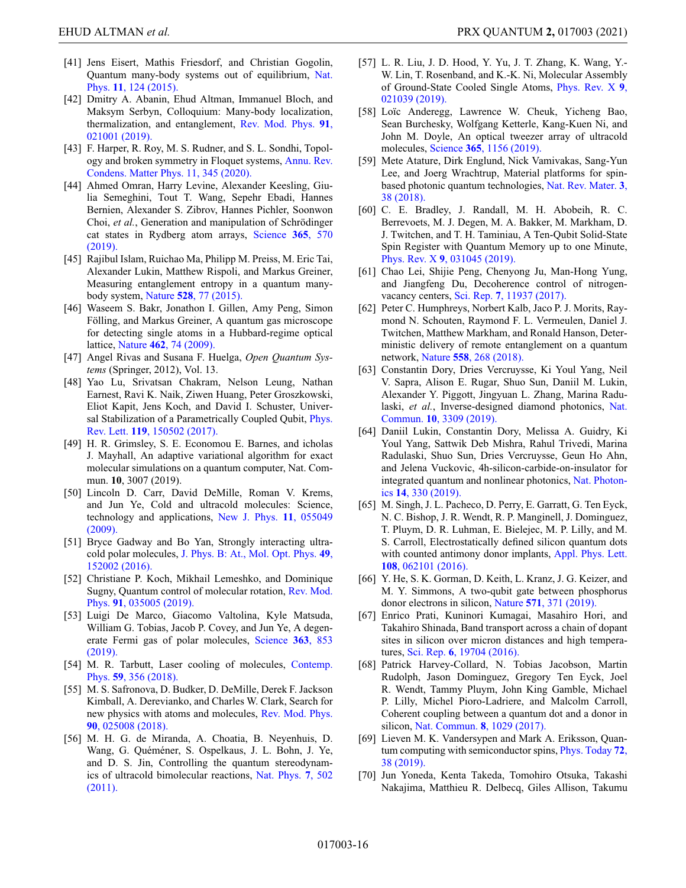- <span id="page-15-0"></span>[41] Jens Eisert, Mathis Friesdorf, and Christian Gogolin, [Quantum many-body systems out of equilibrium,](https://doi.org/10.1038/nphys3215) Nat. Phys. **11**, 124 (2015).
- <span id="page-15-1"></span>[42] Dmitry A. Abanin, Ehud Altman, Immanuel Bloch, and Maksym Serbyn, Colloquium: Many-body localization, [thermalization, and entanglement,](https://doi.org/10.1103/RevModPhys.91.021001) Rev. Mod. Phys. **91**, 021001 (2019).
- <span id="page-15-2"></span>[43] F. Harper, R. Roy, M. S. Rudner, and S. L. Sondhi, Topol[ogy and broken symmetry in Floquet systems,](https://doi.org/10.1146/annurev-conmatphys-031218-013721) Annu. Rev. Condens. Matter Phys. 11, 345 (2020).
- <span id="page-15-3"></span>[44] Ahmed Omran, Harry Levine, Alexander Keesling, Giulia Semeghini, Tout T. Wang, Sepehr Ebadi, Hannes Bernien, Alexander S. Zibrov, Hannes Pichler, Soonwon Choi, *et al.*, Generation and manipulation of Schrödinger [cat states in Rydberg atom arrays,](https://doi.org/10.1126/science.aax9743) Science **365**, 570 (2019).
- <span id="page-15-4"></span>[45] Rajibul Islam, Ruichao Ma, Philipp M. Preiss, M. Eric Tai, Alexander Lukin, Matthew Rispoli, and Markus Greiner, Measuring entanglement entropy in a quantum manybody system, Nature **528**[, 77 \(2015\).](https://doi.org/10.1038/nature15750)
- <span id="page-15-5"></span>[46] Waseem S. Bakr, Jonathon I. Gillen, Amy Peng, Simon Fölling, and Markus Greiner, A quantum gas microscope for detecting single atoms in a Hubbard-regime optical lattice, Nature **462**[, 74 \(2009\).](https://doi.org/10.1038/nature08482)
- <span id="page-15-6"></span>[47] Angel Rivas and Susana F. Huelga, *Open Quantum Systems* (Springer, 2012), Vol. 13.
- <span id="page-15-7"></span>[48] Yao Lu, Srivatsan Chakram, Nelson Leung, Nathan Earnest, Ravi K. Naik, Ziwen Huang, Peter Groszkowski, Eliot Kapit, Jens Koch, and David I. Schuster, Univer[sal Stabilization of a Parametrically Coupled Qubit,](https://doi.org/10.1103/PhysRevLett.119.150502) *Phys.* Rev. Lett. **119**, 150502 (2017).
- [49] H. R. Grimsley, S. E. Economou E. Barnes, and icholas J. Mayhall, An adaptive variational algorithm for exact molecular simulations on a quantum computer, Nat. Commun. **10**, 3007 (2019).
- <span id="page-15-8"></span>[50] Lincoln D. Carr, David DeMille, Roman V. Krems, and Jun Ye, Cold and ultracold molecules: Science, [technology and applications,](https://doi.org/10.1088/1367-2630/11/5/055049) New J. Phys. **11**, 055049 (2009).
- [51] Bryce Gadway and Bo Yan, Strongly interacting ultracold polar molecules, [J. Phys. B: At., Mol. Opt. Phys.](https://doi.org/10.1088/0953-4075/49/15/152002) **49**, 152002 (2016).
- <span id="page-15-9"></span>[52] Christiane P. Koch, Mikhail Lemeshko, and Dominique [Sugny, Quantum control of molecular rotation,](https://doi.org/10.1103/RevModPhys.91.035005) Rev. Mod. Phys. **91**, 035005 (2019).
- <span id="page-15-10"></span>[53] Luigi De Marco, Giacomo Valtolina, Kyle Matsuda, William G. Tobias, Jacob P. Covey, and Jun Ye, A degen[erate Fermi gas of polar molecules,](https://doi.org/10.1126/science.aau7230) Science **363**, 853 (2019).
- <span id="page-15-11"></span>[54] [M. R. Tarbutt, Laser cooling of molecules,](https://doi.org/10.1080/00107514.2018.1576338) Contemp. Phys. **59**, 356 (2018).
- <span id="page-15-12"></span>[55] M. S. Safronova, D. Budker, D. DeMille, Derek F. Jackson Kimball, A. Derevianko, and Charles W. Clark, Search for [new physics with atoms and molecules,](https://doi.org/10.1103/RevModPhys.90.025008) Rev. Mod. Phys. **90**, 025008 (2018).
- <span id="page-15-13"></span>[56] M. H. G. de Miranda, A. Choatia, B. Neyenhuis, D. Wang, G. Quéméner, S. Ospelkaus, J. L. Bohn, J. Ye, and D. S. Jin, Controlling the quantum stereodynam[ics of ultracold bimolecular reactions,](https://doi.org/10.1038/nphys1939) Nat. Phys. **7**, 502 (2011).
- <span id="page-15-14"></span>[57] L. R. Liu, J. D. Hood, Y. Yu, J. T. Zhang, K. Wang, Y.- W. Lin, T. Rosenband, and K.-K. Ni, Molecular Assembly [of Ground-State Cooled Single Atoms,](https://doi.org/10.1103/PhysRevX.9.021039) Phys. Rev. X **9**, 021039 (2019).
- <span id="page-15-15"></span>[58] Loïc Anderegg, Lawrence W. Cheuk, Yicheng Bao, Sean Burchesky, Wolfgang Ketterle, Kang-Kuen Ni, and John M. Doyle, An optical tweezer array of ultracold molecules, Science **365**[, 1156 \(2019\).](https://doi.org/10.1126/science.aax1265)
- <span id="page-15-16"></span>[59] Mete Atature, Dirk Englund, Nick Vamivakas, Sang-Yun Lee, and Joerg Wrachtrup, Material platforms for spin[based photonic quantum technologies,](https://doi.org/10.1038/s41578-018-0008-9) Nat. Rev. Mater. **3**, 38 (2018).
- <span id="page-15-17"></span>[60] C. E. Bradley, J. Randall, M. H. Abobeih, R. C. Berrevoets, M. J. Degen, M. A. Bakker, M. Markham, D. J. Twitchen, and T. H. Taminiau, A Ten-Qubit Solid-State Spin Register with Quantum Memory up to one Minute, Phys. Rev. X **9**[, 031045 \(2019\).](https://doi.org/10.1103/PhysRevX.9.031045)
- <span id="page-15-18"></span>[61] Chao Lei, Shijie Peng, Chenyong Ju, Man-Hong Yung, and Jiangfeng Du, Decoherence control of nitrogenvacancy centers, Sci. Rep. **7**[, 11937 \(2017\).](https://doi.org/10.1038/s41598-017-12280-z)
- <span id="page-15-19"></span>[62] Peter C. Humphreys, Norbert Kalb, Jaco P. J. Morits, Raymond N. Schouten, Raymond F. L. Vermeulen, Daniel J. Twitchen, Matthew Markham, and Ronald Hanson, Deterministic delivery of remote entanglement on a quantum network, Nature **558**[, 268 \(2018\).](https://doi.org/10.1038/s41586-018-0200-5)
- <span id="page-15-20"></span>[63] Constantin Dory, Dries Vercruysse, Ki Youl Yang, Neil V. Sapra, Alison E. Rugar, Shuo Sun, Daniil M. Lukin, Alexander Y. Piggott, Jingyuan L. Zhang, Marina Radulaski, *et al.*[, Inverse-designed diamond photonics,](https://doi.org/10.1038/s41467-019-11343-1) Nat. Commun. **10**, 3309 (2019).
- <span id="page-15-21"></span>[64] Daniil Lukin, Constantin Dory, Melissa A. Guidry, Ki Youl Yang, Sattwik Deb Mishra, Rahul Trivedi, Marina Radulaski, Shuo Sun, Dries Vercruysse, Geun Ho Ahn, and Jelena Vuckovic, 4h-silicon-carbide-on-insulator for [integrated quantum and nonlinear photonics,](https://doi.org/10.1038/s41566-019-0556-6) Nat. Photonics **14**, 330 (2019).
- <span id="page-15-22"></span>[65] M. Singh, J. L. Pacheco, D. Perry, E. Garratt, G. Ten Eyck, N. C. Bishop, J. R. Wendt, R. P. Manginell, J. Dominguez, T. Pluym, D. R. Luhman, E. Bielejec, M. P. Lilly, and M. S. Carroll, Electrostatically defined silicon quantum dots [with counted antimony donor implants,](https://doi.org/10.1063/1.4940421) Appl. Phys. Lett. **108**, 062101 (2016).
- <span id="page-15-23"></span>[66] Y. He, S. K. Gorman, D. Keith, L. Kranz, J. G. Keizer, and M. Y. Simmons, A two-qubit gate between phosphorus donor electrons in silicon, Nature **571**[, 371 \(2019\).](https://doi.org/10.1038/s41586-019-1381-2)
- <span id="page-15-24"></span>[67] Enrico Prati, Kuninori Kumagai, Masahiro Hori, and Takahiro Shinada, Band transport across a chain of dopant sites in silicon over micron distances and high temperatures, Sci. Rep. **6**[, 19704 \(2016\).](https://doi.org/10.1038/srep19704)
- <span id="page-15-25"></span>[68] Patrick Harvey-Collard, N. Tobias Jacobson, Martin Rudolph, Jason Dominguez, Gregory Ten Eyck, Joel R. Wendt, Tammy Pluym, John King Gamble, Michael P. Lilly, Michel Pioro-Ladriere, and Malcolm Carroll, Coherent coupling between a quantum dot and a donor in silicon, [Nat. Commun.](https://doi.org/10.1038/s41467-017-01113-2) **8**, 1029 (2017).
- <span id="page-15-26"></span>[69] Lieven M. K. Vandersypen and Mark A. Eriksson, Quan[tum computing with semiconductor spins,](https://doi.org/10.1063/PT.3.4270) Phys. Today **72**, 38 (2019).
- <span id="page-15-27"></span>[70] Jun Yoneda, Kenta Takeda, Tomohiro Otsuka, Takashi Nakajima, Matthieu R. Delbecq, Giles Allison, Takumu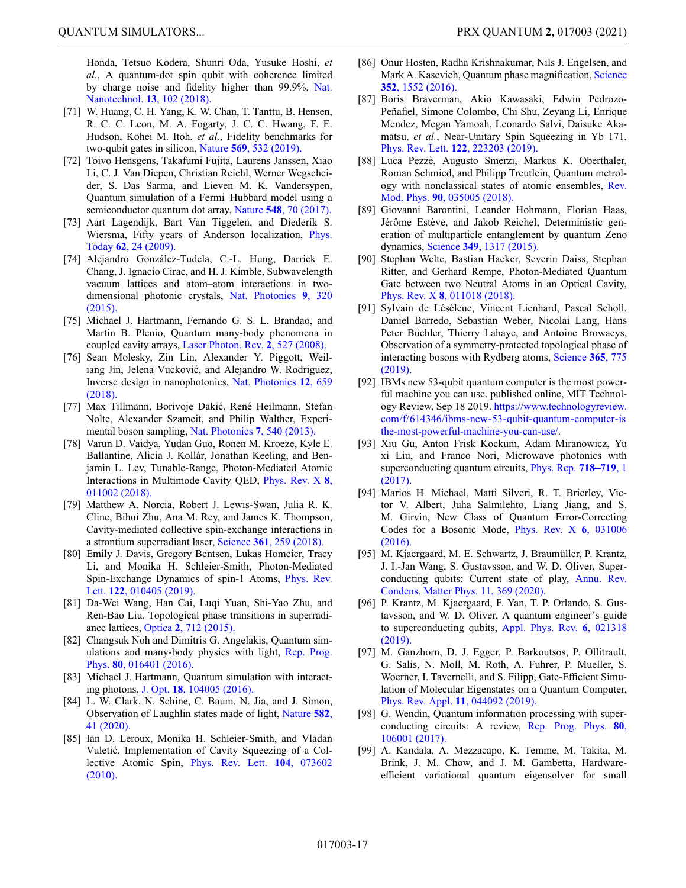Honda, Tetsuo Kodera, Shunri Oda, Yusuke Hoshi, *et al.*, A quantum-dot spin qubit with coherence limited [by charge noise and fidelity higher than 99.9%,](https://doi.org/10.1038/s41565-017-0014-x) Nat. Nanotechnol. **13**, 102 (2018).

- <span id="page-16-0"></span>[71] W. Huang, C. H. Yang, K. W. Chan, T. Tanttu, B. Hensen, R. C. C. Leon, M. A. Fogarty, J. C. C. Hwang, F. E. Hudson, Kohei M. Itoh, *et al.*, Fidelity benchmarks for two-qubit gates in silicon, Nature **569**[, 532 \(2019\).](https://doi.org/10.1038/s41586-019-1197-0)
- <span id="page-16-1"></span>[72] Toivo Hensgens, Takafumi Fujita, Laurens Janssen, Xiao Li, C. J. Van Diepen, Christian Reichl, Werner Wegscheider, S. Das Sarma, and Lieven M. K. Vandersypen, Quantum simulation of a Fermi–Hubbard model using a semiconductor quantum dot array, Nature **548**[, 70 \(2017\).](https://doi.org/10.1038/nature23022)
- <span id="page-16-2"></span>[73] Aart Lagendijk, Bart Van Tiggelen, and Diederik S. [Wiersma, Fifty years of Anderson localization,](https://doi.org/10.1063/1.3206091) Phys. Today **62**, 24 (2009).
- <span id="page-16-3"></span>[74] Alejandro González-Tudela, C.-L. Hung, Darrick E. Chang, J. Ignacio Cirac, and H. J. Kimble, Subwavelength vacuum lattices and atom–atom interactions in two[dimensional photonic crystals,](https://doi.org/10.1038/nphoton.2015.54) Nat. Photonics **9**, 320 (2015).
- <span id="page-16-4"></span>[75] Michael J. Hartmann, Fernando G. S. L. Brandao, and Martin B. Plenio, Quantum many-body phenomena in coupled cavity arrays, [Laser Photon. Rev.](https://doi.org/10.1002/lpor.200810046) **2**, 527 (2008).
- <span id="page-16-5"></span>[76] Sean Molesky, Zin Lin, Alexander Y. Piggott, Weiliang Jin, Jelena Vucković, and Alejandro W. Rodriguez, [Inverse design in nanophotonics,](https://doi.org/10.1038/s41566-018-0246-9) Nat. Photonics **12**, 659 (2018).
- <span id="page-16-6"></span>[77] Max Tillmann, Borivoje Dakic, René Heilmann, Stefan ´ Nolte, Alexander Szameit, and Philip Walther, Experimental boson sampling, [Nat. Photonics](https://doi.org/10.1038/nphoton.2013.102) **7**, 540 (2013).
- <span id="page-16-7"></span>[78] Varun D. Vaidya, Yudan Guo, Ronen M. Kroeze, Kyle E. Ballantine, Alicia J. Kollár, Jonathan Keeling, and Benjamin L. Lev, Tunable-Range, Photon-Mediated Atomic [Interactions in Multimode Cavity QED,](https://doi.org/10.1103/PhysRevX.8.011002) Phys. Rev. X **8**, 011002 (2018).
- [79] Matthew A. Norcia, Robert J. Lewis-Swan, Julia R. K. Cline, Bihui Zhu, Ana M. Rey, and James K. Thompson, Cavity-mediated collective spin-exchange interactions in a strontium superradiant laser, Science **361**[, 259 \(2018\).](https://doi.org/10.1126/science.aar3102)
- [80] Emily J. Davis, Gregory Bentsen, Lukas Homeier, Tracy Li, and Monika H. Schleier-Smith, Photon-Mediated [Spin-Exchange Dynamics of spin-1 Atoms,](https://doi.org/10.1103/PhysRevLett.122.010405) Phys. Rev. Lett. **122**, 010405 (2019).
- <span id="page-16-8"></span>[81] Da-Wei Wang, Han Cai, Luqi Yuan, Shi-Yao Zhu, and Ren-Bao Liu, Topological phase transitions in superradiance lattices, Optica **2**[, 712 \(2015\).](https://doi.org/10.1364/OPTICA.2.000712)
- <span id="page-16-9"></span>[82] Changsuk Noh and Dimitris G. Angelakis, Quantum sim[ulations and many-body physics with light,](https://doi.org/10.1088/0034-4885/80/1/016401) Rep. Prog. Phys. **80**, 016401 (2016).
- <span id="page-16-10"></span>[83] Michael J. Hartmann, Quantum simulation with interacting photons, J. Opt. **18**[, 104005 \(2016\).](https://doi.org/10.1088/2040-8978/18/10/104005)
- <span id="page-16-11"></span>[84] L. W. Clark, N. Schine, C. Baum, N. Jia, and J. Simon, [Observation of Laughlin states made of light,](https://doi.org/10.1038/s41586-020-2318-5) Nature **582**, 41 (2020).
- <span id="page-16-12"></span>[85] Ian D. Leroux, Monika H. Schleier-Smith, and Vladan Vuletic, Implementation of Cavity Squeezing of a Col- ´ [lective Atomic Spin,](https://doi.org/10.1103/PhysRevLett.104.073602) Phys. Rev. Lett. **104**, 073602 (2010).
- [86] Onur Hosten, Radha Krishnakumar, Nils J. Engelsen, and [Mark A. Kasevich, Quantum phase magnification,](https://doi.org/10.1126/science.aaf3397) Science **352**, 1552 (2016).
- [87] Boris Braverman, Akio Kawasaki, Edwin Pedrozo-Peñafiel, Simone Colombo, Chi Shu, Zeyang Li, Enrique Mendez, Megan Yamoah, Leonardo Salvi, Daisuke Akamatsu, *et al.*, Near-Unitary Spin Squeezing in Yb 171, Phys. Rev. Lett. **122**[, 223203 \(2019\).](https://doi.org/10.1103/PhysRevLett.122.223203)
- <span id="page-16-13"></span>[88] Luca Pezzè, Augusto Smerzi, Markus K. Oberthaler, Roman Schmied, and Philipp Treutlein, Quantum metrol[ogy with nonclassical states of atomic ensembles,](https://doi.org/10.1103/RevModPhys.90.035005) Rev. Mod. Phys. **90**, 035005 (2018).
- <span id="page-16-14"></span>[89] Giovanni Barontini, Leander Hohmann, Florian Haas, Jérôme Estève, and Jakob Reichel, Deterministic generation of multiparticle entanglement by quantum Zeno dynamics, Science **349**[, 1317 \(2015\).](https://doi.org/10.1126/science.aaa0754)
- <span id="page-16-15"></span>[90] Stephan Welte, Bastian Hacker, Severin Daiss, Stephan Ritter, and Gerhard Rempe, Photon-Mediated Quantum Gate between two Neutral Atoms in an Optical Cavity, Phys. Rev. X **8**[, 011018 \(2018\).](https://doi.org/10.1103/PhysRevX.8.011018)
- <span id="page-16-16"></span>[91] Sylvain de Léséleuc, Vincent Lienhard, Pascal Scholl, Daniel Barredo, Sebastian Weber, Nicolai Lang, Hans Peter Büchler, Thierry Lahaye, and Antoine Browaeys, Observation of a symmetry-protected topological phase of [interacting bosons with Rydberg atoms,](https://doi.org/10.1126/science.aav9105) Science **365**, 775 (2019).
- <span id="page-16-17"></span>[92] IBMs new 53-qubit quantum computer is the most powerful machine you can use. published online, MIT Technology Review, Sep 18 2019. https://www.technologyreview. [com/f/614346/ibms-new-53-qubit-quantum-computer-is](https://www.technologyreview.com/f/614346/ibms-new-53-qubit-quantum-computer-isthe-most-powerful-machine-you-can-use/) the-most-powerful-machine-you-can-use/.
- <span id="page-16-18"></span>[93] Xiu Gu, Anton Frisk Kockum, Adam Miranowicz, Yu xi Liu, and Franco Nori, Microwave photonics with [superconducting quantum circuits,](https://doi.org/10.1016/j.physrep.2017.10.002) Phys. Rep. **718–719**, 1 (2017).
- <span id="page-16-19"></span>[94] Marios H. Michael, Matti Silveri, R. T. Brierley, Victor V. Albert, Juha Salmilehto, Liang Jiang, and S. M. Girvin, New Class of Quantum Error-Correcting [Codes for a Bosonic Mode,](https://doi.org/10.1103/PhysRevX.6.031006) Phys. Rev. X **6**, 031006 (2016).
- <span id="page-16-20"></span>[95] M. Kjaergaard, M. E. Schwartz, J. Braumüller, P. Krantz, J. I.-Jan Wang, S. Gustavsson, and W. D. Oliver, Super[conducting qubits: Current state of play,](https://doi.org/10.1146/annurev-conmatphys-031119-050605) Annu. Rev. Condens. Matter Phys. 11, 369 (2020).
- <span id="page-16-21"></span>[96] P. Krantz, M. Kjaergaard, F. Yan, T. P. Orlando, S. Gustavsson, and W. D. Oliver, A quantum engineer's guide [to superconducting qubits,](https://doi.org/10.1063/1.5089550) Appl. Phys. Rev. **6**, 021318 (2019).
- <span id="page-16-22"></span>[97] M. Ganzhorn, D. J. Egger, P. Barkoutsos, P. Ollitrault, G. Salis, N. Moll, M. Roth, A. Fuhrer, P. Mueller, S. Woerner, I. Tavernelli, and S. Filipp, Gate-Efficient Simulation of Molecular Eigenstates on a Quantum Computer, [Phys. Rev. Appl.](https://doi.org/10.1103/PhysRevApplied.11.044092) **11**, 044092 (2019).
- <span id="page-16-23"></span>[98] G. Wendin, Quantum information processing with super[conducting circuits: A review,](https://doi.org/10.1088/1361-6633/aa7e1a) Rep. Prog. Phys. **80**, 106001 (2017).
- [99] A. Kandala, A. Mezzacapo, K. Temme, M. Takita, M. Brink, J. M. Chow, and J. M. Gambetta, Hardwareefficient variational quantum eigensolver for small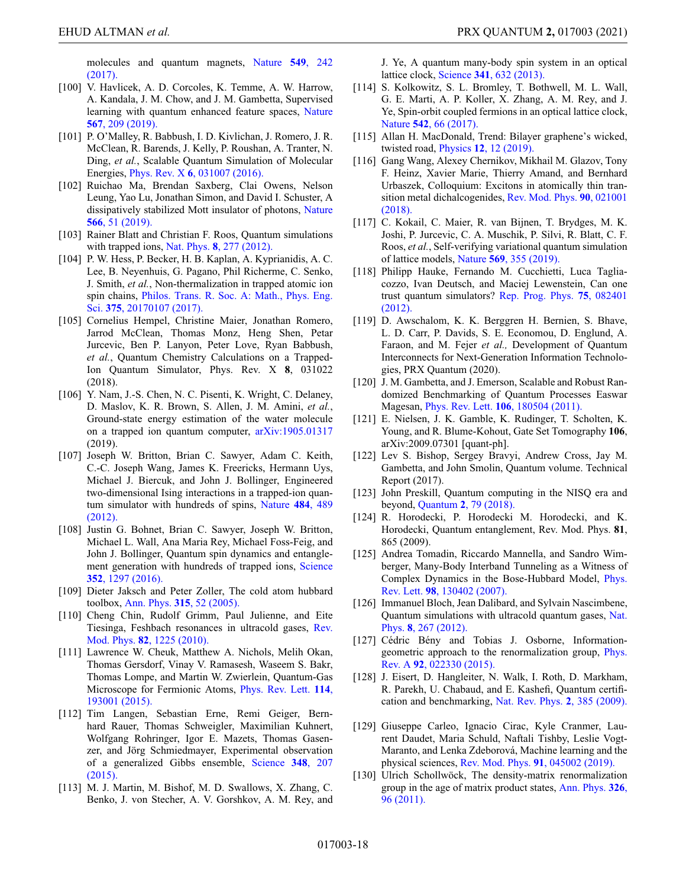[molecules and quantum magnets,](https://doi.org/10.1038/nature23879) Nature **549**, 242 (2017).

- [100] V. Havlicek, A. D. Corcoles, K. Temme, A. W. Harrow, A. Kandala, J. M. Chow, and J. M. Gambetta, Supervised [learning with quantum enhanced feature spaces,](https://doi.org/10.1038/s41586-019-0980-2) Nature **567**, 209 (2019).
- [101] P. O'Malley, R. Babbush, I. D. Kivlichan, J. Romero, J. R. McClean, R. Barends, J. Kelly, P. Roushan, A. Tranter, N. Ding, *et al.*, Scalable Quantum Simulation of Molecular Energies, Phys. Rev. X **6**[, 031007 \(2016\).](https://doi.org/10.1103/PhysRevX.6.031007)
- <span id="page-17-0"></span>[102] Ruichao Ma, Brendan Saxberg, Clai Owens, Nelson Leung, Yao Lu, Jonathan Simon, and David I. Schuster, A [dissipatively stabilized Mott insulator of photons,](https://doi.org/10.1038/s41586-019-0897-9) Nature **566**, 51 (2019).
- <span id="page-17-1"></span>[103] Rainer Blatt and Christian F. Roos, Quantum simulations with trapped ions, Nat. Phys. **8**[, 277 \(2012\).](https://doi.org/10.1038/nphys2252)
- <span id="page-17-2"></span>[104] P. W. Hess, P. Becker, H. B. Kaplan, A. Kyprianidis, A. C. Lee, B. Neyenhuis, G. Pagano, Phil Richerme, C. Senko, J. Smith, *et al.*, Non-thermalization in trapped atomic ion spin chains, [Philos. Trans. R. Soc. A: Math., Phys. Eng.](https://doi.org/10.1098/rsta.2017.0107) Sci. **375**, 20170107 (2017).
- <span id="page-17-3"></span>[105] Cornelius Hempel, Christine Maier, Jonathan Romero, Jarrod McClean, Thomas Monz, Heng Shen, Petar Jurcevic, Ben P. Lanyon, Peter Love, Ryan Babbush, *et al.*, Quantum Chemistry Calculations on a Trapped-Ion Quantum Simulator, Phys. Rev. X **8**, 031022 (2018).
- <span id="page-17-4"></span>[106] Y. Nam, J.-S. Chen, N. C. Pisenti, K. Wright, C. Delaney, D. Maslov, K. R. Brown, S. Allen, J. M. Amini, *et al.*, Ground-state energy estimation of the water molecule on a trapped ion quantum computer, [arXiv:1905.01317](https://arxiv.org/abs/1905.01317) (2019).
- <span id="page-17-5"></span>[107] Joseph W. Britton, Brian C. Sawyer, Adam C. Keith, C.-C. Joseph Wang, James K. Freericks, Hermann Uys, Michael J. Biercuk, and John J. Bollinger, Engineered two-dimensional Ising interactions in a trapped-ion quan[tum simulator with hundreds of spins,](https://doi.org/10.1038/nature10981) Nature **484**, 489 (2012).
- <span id="page-17-6"></span>[108] Justin G. Bohnet, Brian C. Sawyer, Joseph W. Britton, Michael L. Wall, Ana Maria Rey, Michael Foss-Feig, and John J. Bollinger, Quantum spin dynamics and entangle[ment generation with hundreds of trapped ions,](https://doi.org/10.1126/science.aad9958) Science **352**, 1297 (2016).
- <span id="page-17-7"></span>[109] Dieter Jaksch and Peter Zoller, The cold atom hubbard toolbox, Ann. Phys. **315**[, 52 \(2005\).](https://doi.org/10.1016/j.aop.2004.09.010)
- <span id="page-17-8"></span>[110] Cheng Chin, Rudolf Grimm, Paul Julienne, and Eite [Tiesinga, Feshbach resonances in ultracold gases,](https://doi.org/10.1103/RevModPhys.82.1225) Rev. Mod. Phys. **82**, 1225 (2010).
- <span id="page-17-9"></span>[111] Lawrence W. Cheuk, Matthew A. Nichols, Melih Okan, Thomas Gersdorf, Vinay V. Ramasesh, Waseem S. Bakr, Thomas Lompe, and Martin W. Zwierlein, Quantum-Gas [Microscope for Fermionic Atoms,](https://doi.org/10.1103/PhysRevLett.114.193001) Phys. Rev. Lett. **114**, 193001 (2015).
- <span id="page-17-10"></span>[112] Tim Langen, Sebastian Erne, Remi Geiger, Bernhard Rauer, Thomas Schweigler, Maximilian Kuhnert, Wolfgang Rohringer, Igor E. Mazets, Thomas Gasenzer, and Jörg Schmiedmayer, Experimental observation [of a generalized Gibbs ensemble,](https://doi.org/10.1126/science.1257026) Science **348**, 207 (2015).
- <span id="page-17-11"></span>[113] M. J. Martin, M. Bishof, M. D. Swallows, X. Zhang, C. Benko, J. von Stecher, A. V. Gorshkov, A. M. Rey, and

J. Ye, A quantum many-body spin system in an optical lattice clock, Science **341**[, 632 \(2013\).](https://doi.org/10.1126/science.1236929)

- <span id="page-17-12"></span>[114] S. Kolkowitz, S. L. Bromley, T. Bothwell, M. L. Wall, G. E. Marti, A. P. Koller, X. Zhang, A. M. Rey, and J. Ye, Spin-orbit coupled fermions in an optical lattice clock, Nature **542**[, 66 \(2017\).](https://doi.org/10.1038/nature20811)
- <span id="page-17-13"></span>[115] Allan H. MacDonald, Trend: Bilayer graphene's wicked, twisted road, Physics **12**[, 12 \(2019\).](https://doi.org/10.1103/Physics.12.12)
- <span id="page-17-14"></span>[116] Gang Wang, Alexey Chernikov, Mikhail M. Glazov, Tony F. Heinz, Xavier Marie, Thierry Amand, and Bernhard Urbaszek, Colloquium: Excitons in atomically thin tran[sition metal dichalcogenides,](https://doi.org/10.1103/RevModPhys.90.021001) Rev. Mod. Phys. **90**, 021001 (2018).
- <span id="page-17-15"></span>[117] C. Kokail, C. Maier, R. van Bijnen, T. Brydges, M. K. Joshi, P. Jurcevic, C. A. Muschik, P. Silvi, R. Blatt, C. F. Roos, *et al.*, Self-verifying variational quantum simulation of lattice models, Nature **569**[, 355 \(2019\).](https://doi.org/10.1038/s41586-019-1177-4)
- <span id="page-17-16"></span>[118] Philipp Hauke, Fernando M. Cucchietti, Luca Tagliacozzo, Ivan Deutsch, and Maciej Lewenstein, Can one [trust quantum simulators?](https://doi.org/10.1088/0034-4885/75/8/082401) Rep. Prog. Phys. **75**, 082401 (2012).
- <span id="page-17-17"></span>[119] D. Awschalom, K. K. Berggren H. Bernien, S. Bhave, L. D. Carr, P. Davids, S. E. Economou, D. Englund, A. Faraon, and M. Fejer *et al.,* Development of Quantum Interconnects for Next-Generation Information Technologies, PRX Quantum (2020).
- <span id="page-17-18"></span>[120] J. M. Gambetta, and J. Emerson, Scalable and Robust Randomized Benchmarking of Quantum Processes Easwar Magesan, Phys. Rev. Lett. **106**[, 180504 \(2011\).](https://doi.org/10.1103/PhysRevLett.106.180504)
- <span id="page-17-19"></span>[121] E. Nielsen, J. K. Gamble, K. Rudinger, T. Scholten, K. Young, and R. Blume-Kohout, Gate Set Tomography **106**, arXiv:2009.07301 [quant-ph].
- <span id="page-17-20"></span>[122] Lev S. Bishop, Sergey Bravyi, Andrew Cross, Jay M. Gambetta, and John Smolin, Quantum volume. Technical Report (2017).
- <span id="page-17-21"></span>[123] John Preskill, Quantum computing in the NISQ era and beyond, Quantum **2**[, 79 \(2018\).](https://doi.org/10.22331/q-2018-08-06-79)
- <span id="page-17-22"></span>[124] R. Horodecki, P. Horodecki M. Horodecki, and K. Horodecki, Quantum entanglement, Rev. Mod. Phys. **81**, 865 (2009).
- <span id="page-17-23"></span>[125] Andrea Tomadin, Riccardo Mannella, and Sandro Wimberger, Many-Body Interband Tunneling as a Witness of [Complex Dynamics in the Bose-Hubbard Model,](https://doi.org/10.1103/PhysRevLett.98.130402) Phys. Rev. Lett. **98**, 130402 (2007).
- <span id="page-17-24"></span>[126] Immanuel Bloch, Jean Dalibard, and Sylvain Nascimbene, [Quantum simulations with ultracold quantum gases,](https://doi.org/10.1038/nphys2259) Nat. Phys. **8**, 267 (2012).
- <span id="page-17-25"></span>[127] Cédric Bény and Tobias J. Osborne, Information[geometric approach to the renormalization group,](https://doi.org/10.1103/PhysRevA.92.022330) Phys. Rev. A **92**, 022330 (2015).
- <span id="page-17-26"></span>[128] J. Eisert, D. Hangleiter, N. Walk, I. Roth, D. Markham, R. Parekh, U. Chabaud, and E. Kashefi, Quantum certifi[cation and benchmarking,](https://doi.org/10.1038/s42254-020-0186-4) Nat. Rev. Phys. **2**, 385 (2009).
- <span id="page-17-27"></span>[129] Giuseppe Carleo, Ignacio Cirac, Kyle Cranmer, Laurent Daudet, Maria Schuld, Naftali Tishby, Leslie Vogt-Maranto, and Lenka Zdeborová, Machine learning and the physical sciences, Rev. Mod. Phys. **91**[, 045002 \(2019\).](https://doi.org/10.1103/RevModPhys.91.045002)
- <span id="page-17-28"></span>[130] Ulrich Schollwöck, The density-matrix renormalization [group in the age of matrix product states,](https://doi.org/10.1016/j.aop.2010.09.012) Ann. Phys. **326**, 96 (2011).